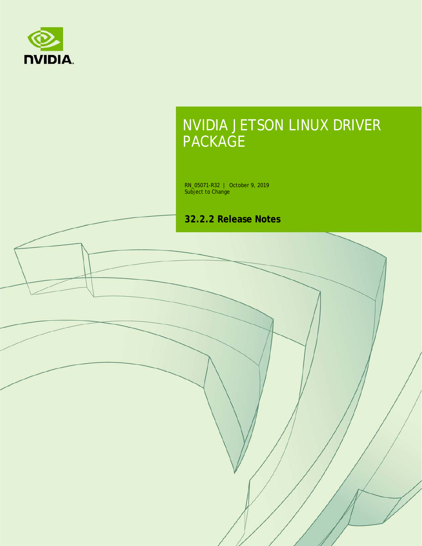

# NVIDIA JETSON LINUX DRIVER PACKAGE

RN\_05071-R32 | October 9, 2019 Subject to Change

**32.2.2 Release Notes**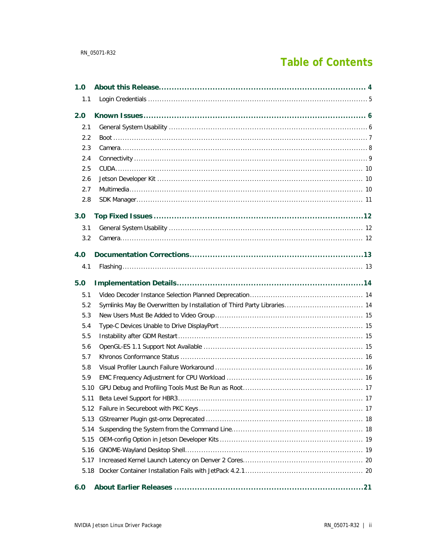# **Table of Contents**

| 1.0  |                                                                         |
|------|-------------------------------------------------------------------------|
| 1.1  |                                                                         |
| 2.0  |                                                                         |
| 2.1  |                                                                         |
| 2.2  |                                                                         |
| 2.3  |                                                                         |
| 2.4  |                                                                         |
| 2.5  |                                                                         |
| 2.6  |                                                                         |
| 2.7  |                                                                         |
| 2.8  |                                                                         |
| 3.0  |                                                                         |
| 3.1  |                                                                         |
| 3.2  |                                                                         |
| 4.0  |                                                                         |
| 4.1  |                                                                         |
| 5.0  |                                                                         |
| 5.1  |                                                                         |
| 5.2  |                                                                         |
|      | Symlinks May Be Overwritten by Installation of Third Party Libraries 14 |
| 5.3  |                                                                         |
| 5.4  |                                                                         |
| 5.5  |                                                                         |
| 5.6  |                                                                         |
| 5.7  |                                                                         |
| 5.8  |                                                                         |
| 5.9  |                                                                         |
| 5.10 |                                                                         |
| 5.11 |                                                                         |
| 5.12 |                                                                         |
| 5.13 |                                                                         |
| 5.14 |                                                                         |
| 5.15 |                                                                         |
| 5.16 |                                                                         |
| 5.17 |                                                                         |
| 5.18 |                                                                         |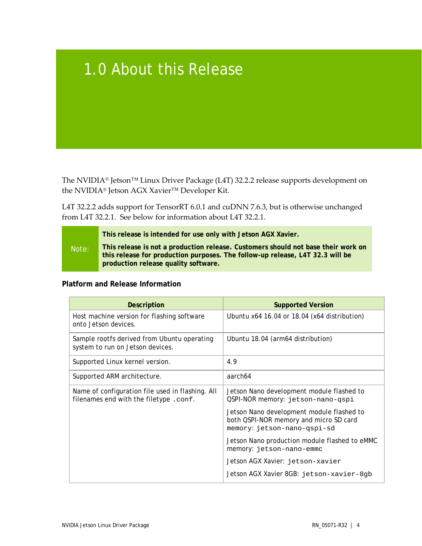# <span id="page-3-0"></span>1.0 About this Release

The NVIDIA® Jetson™ Linux Driver Package (L4T) 32.2.2 release supports development on the NVIDIA® Jetson AGX Xavier™ Developer Kit.

L4T 32.2.2 adds support for TensorRT 6.0.1 and cuDNN 7.6.3, but is otherwise unchanged from L4T 32.2.1. See below for information about L4T 32.2.1.

|       | This release is intended for use only with Jetson AGX Xavier.                                                                                                                                              |
|-------|------------------------------------------------------------------------------------------------------------------------------------------------------------------------------------------------------------|
| Note: | This release is not a production release. Customers should not base their work on<br>this release for production purposes. The follow-up release, L4T 32.3 will be<br>production release quality software. |

## **Platform and Release Information**

| Description                                                                               | <b>Supported Version</b>                                                                                           |
|-------------------------------------------------------------------------------------------|--------------------------------------------------------------------------------------------------------------------|
| Host machine version for flashing software<br>onto Jetson devices.                        | Ubuntu x64 16.04 or 18.04 (x64 distribution)                                                                       |
| Sample rootfs derived from Ubuntu operating<br>system to run on Jetson devices.           | Ubuntu 18.04 (arm64 distribution)                                                                                  |
| Supported Linux kernel version.                                                           | 4.9                                                                                                                |
| Supported ARM architecture.                                                               | aarch64                                                                                                            |
| Name of configuration file used in flashing. All<br>filenames end with the filetype.conf. | Jetson Nano development module flashed to<br>QSPI-NOR memory: jetson-nano-qspi                                     |
|                                                                                           | Jetson Nano development module flashed to<br>both QSPI-NOR memory and micro SD card<br>memory: jetson-nano-qspi-sd |
|                                                                                           | Jetson Nano production module flashed to eMMC<br>memory: jetson-nano-emmc                                          |
|                                                                                           | Jetson AGX Xavier: jetson-xavier                                                                                   |
|                                                                                           | Jetson AGX Xavier 8GB: jetson-xavier-8gb                                                                           |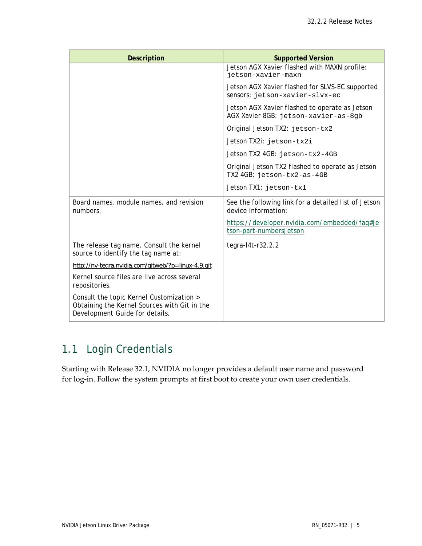| <b>Description</b>                                                                                                         | <b>Supported Version</b>                                                               |
|----------------------------------------------------------------------------------------------------------------------------|----------------------------------------------------------------------------------------|
|                                                                                                                            | Jetson AGX Xavier flashed with MAXN profile:<br>jetson-xavier-maxn                     |
|                                                                                                                            | Jetson AGX Xavier flashed for SLVS-EC supported<br>sensors: jetson-xavier-slvx-ec      |
|                                                                                                                            | Jetson AGX Xavier flashed to operate as Jetson<br>AGX Xavier 8GB: jetson-xavier-as-8gb |
|                                                                                                                            | Original Jetson TX2: jetson-tx2                                                        |
|                                                                                                                            | Jetson TX2i: jetson-tx2i                                                               |
|                                                                                                                            | Jetson TX2 4GB: jetson-tx2-4GB                                                         |
|                                                                                                                            | Original Jetson TX2 flashed to operate as Jetson<br>TX2 4GB: jetson-tx2-as-4GB         |
|                                                                                                                            | Jetson TX1: jetson-tx1                                                                 |
| Board names, module names, and revision<br>numbers.                                                                        | See the following link for a detailed list of Jetson<br>device information:            |
|                                                                                                                            | https://developer.nvidia.com/embedded/faq#je<br>tson-part-numbersJetson                |
| The release tag name. Consult the kernel<br>source to identify the tag name at:                                            | tegra-14t-r32.2.2                                                                      |
| http://nv-tegra.nvidia.com/gitweb/?p=linux-4.9.git                                                                         |                                                                                        |
| Kernel source files are live across several<br>repositories.                                                               |                                                                                        |
| Consult the topic Kernel Customization ><br>Obtaining the Kernel Sources with Git in the<br>Development Guide for details. |                                                                                        |

# <span id="page-4-0"></span>1.1 Login Credentials

Starting with Release 32.1, NVIDIA no longer provides a default user name and password for log-in. Follow the system prompts at first boot to create your own user credentials.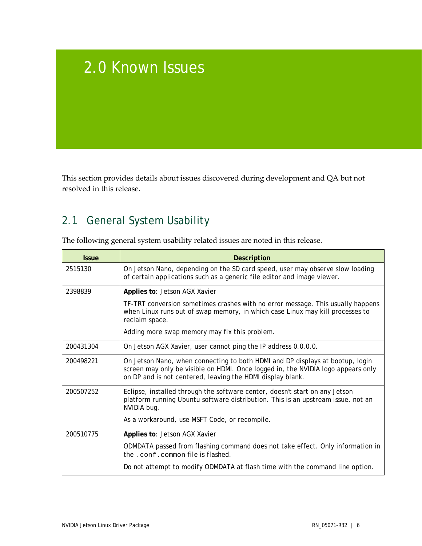# <span id="page-5-0"></span>2.0 Known Issues

This section provides details about issues discovered during development and QA but not resolved in this release.

# <span id="page-5-1"></span>2.1 General System Usability

| The following general system usability related issues are noted in this release. |
|----------------------------------------------------------------------------------|
|                                                                                  |

| <b>Issue</b> | <b>Description</b>                                                                                                                                                                                                              |
|--------------|---------------------------------------------------------------------------------------------------------------------------------------------------------------------------------------------------------------------------------|
| 2515130      | On Jetson Nano, depending on the SD card speed, user may observe slow loading<br>of certain applications such as a generic file editor and image viewer.                                                                        |
| 2398839      | Applies to: Jetson AGX Xavier                                                                                                                                                                                                   |
|              | TF-TRT conversion sometimes crashes with no error message. This usually happens<br>when Linux runs out of swap memory, in which case Linux may kill processes to<br>reclaim space.                                              |
|              | Adding more swap memory may fix this problem.                                                                                                                                                                                   |
| 200431304    | On Jetson AGX Xavier, user cannot ping the IP address 0.0.0.0.                                                                                                                                                                  |
| 200498221    | On Jetson Nano, when connecting to both HDMI and DP displays at bootup, login<br>screen may only be visible on HDMI. Once logged in, the NVIDIA logo appears only<br>on DP and is not centered, leaving the HDMI display blank. |
| 200507252    | Eclipse, installed through the software center, doesn't start on any Jetson<br>platform running Ubuntu software distribution. This is an upstream issue, not an<br>NVIDIA bug.                                                  |
|              | As a workaround, use MSFT Code, or recompile.                                                                                                                                                                                   |
| 200510775    | Applies to: Jetson AGX Xavier                                                                                                                                                                                                   |
|              | ODMDATA passed from flashing command does not take effect. Only information in<br>the .conf.common file is flashed.                                                                                                             |
|              | Do not attempt to modify ODMDATA at flash time with the command line option.                                                                                                                                                    |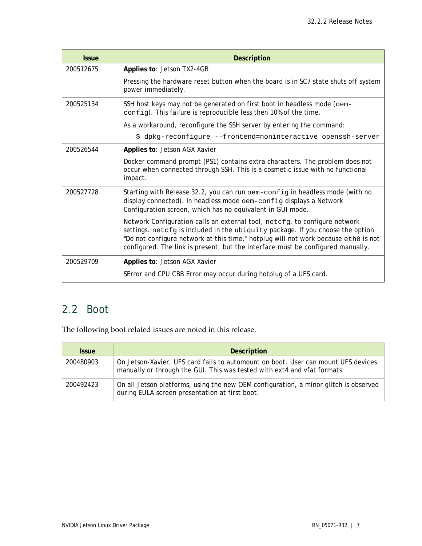| <b>Issue</b> | <b>Description</b>                                                                                                                                                                                                                                                                                                                    |
|--------------|---------------------------------------------------------------------------------------------------------------------------------------------------------------------------------------------------------------------------------------------------------------------------------------------------------------------------------------|
| 200512675    | Applies to: Jetson TX2-4GB                                                                                                                                                                                                                                                                                                            |
|              | Pressing the hardware reset button when the board is in SC7 state shuts off system<br>power immediately.                                                                                                                                                                                                                              |
| 200525134    | SSH host keys may not be generated on first boot in headless mode (oem-<br>config). This failure is reproducible less then 10% of the time.                                                                                                                                                                                           |
|              | As a workaround, reconfigure the SSH server by entering the command:                                                                                                                                                                                                                                                                  |
|              | \$ dpkg-reconfigure --frontend=noninteractive openssh-server                                                                                                                                                                                                                                                                          |
| 200526544    | Applies to: Jetson AGX Xavier                                                                                                                                                                                                                                                                                                         |
|              | Docker command prompt (PS1) contains extra characters. The problem does not<br>occur when connected through SSH. This is a cosmetic issue with no functional<br>impact.                                                                                                                                                               |
| 200527728    | Starting with Release 32.2, you can run oem-config in headless mode (with no<br>display connected). In headless mode oem-config displays a Network<br>Configuration screen, which has no equivalent in GUI mode.                                                                                                                      |
|              | Network Configuration calls an external tool, netcfg, to configure network<br>settings. netcfg is included in the ubiquity package. If you choose the option<br>"Do not configure network at this time," hotplug will not work because eth0 is not<br>configured. The link is present, but the interface must be configured manually. |
| 200529709    | Applies to: Jetson AGX Xavier                                                                                                                                                                                                                                                                                                         |
|              | SError and CPU CBB Error may occur during hotplug of a UFS card.                                                                                                                                                                                                                                                                      |

# <span id="page-6-0"></span>2.2 Boot

The following boot related issues are noted in this release.

| <b>Issue</b> | <b>Description</b>                                                                                                                                            |
|--------------|---------------------------------------------------------------------------------------------------------------------------------------------------------------|
| 200480903    | On Jetson-Xavier, UFS card fails to automount on boot. User can mount UFS devices<br>manually or through the GUI. This was tested with ext4 and vfat formats. |
| 200492423    | On all Jetson platforms, using the new OEM configuration, a minor glitch is observed<br>during EULA screen presentation at first boot.                        |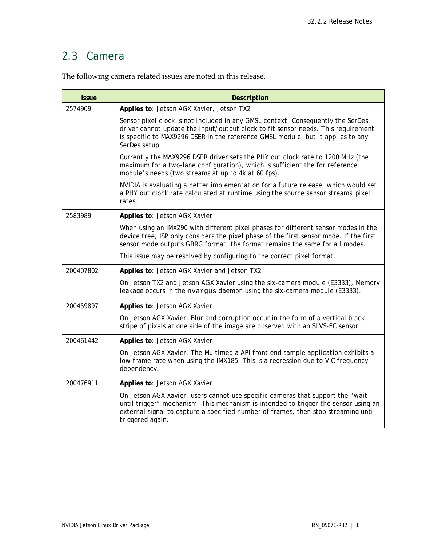# <span id="page-7-0"></span>2.3 Camera

| <b>Issue</b> | <b>Description</b>                                                                                                                                                                                                                                                               |
|--------------|----------------------------------------------------------------------------------------------------------------------------------------------------------------------------------------------------------------------------------------------------------------------------------|
| 2574909      | Applies to: Jetson AGX Xavier, Jetson TX2                                                                                                                                                                                                                                        |
|              | Sensor pixel clock is not included in any GMSL context. Consequently the SerDes<br>driver cannot update the input/output clock to fit sensor needs. This requirement<br>is specific to MAX9296 DSER in the reference GMSL module, but it applies to any<br>SerDes setup.         |
|              | Currently the MAX9296 DSER driver sets the PHY out clock rate to 1200 MHz (the<br>maximum for a two-lane configuration), which is sufficient the for reference<br>module's needs (two streams at up to 4k at 60 fps).                                                            |
|              | NVIDIA is evaluating a better implementation for a future release, which would set<br>a PHY out clock rate calculated at runtime using the source sensor streams' pixel<br>rates.                                                                                                |
| 2583989      | Applies to: Jetson AGX Xavier                                                                                                                                                                                                                                                    |
|              | When using an IMX290 with different pixel phases for different sensor modes in the<br>device tree, ISP only considers the pixel phase of the first sensor mode. If the first<br>sensor mode outputs GBRG format, the format remains the same for all modes.                      |
|              | This issue may be resolved by configuring to the correct pixel format.                                                                                                                                                                                                           |
| 200407802    | Applies to: Jetson AGX Xavier and Jetson TX2                                                                                                                                                                                                                                     |
|              | On Jetson TX2 and Jetson AGX Xavier using the six-camera module (E3333), Memory<br>leakage occurs in the nvargus daemon using the six-camera module (E3333).                                                                                                                     |
| 200459897    | Applies to: Jetson AGX Xavier                                                                                                                                                                                                                                                    |
|              | On Jetson AGX Xavier, Blur and corruption occur in the form of a vertical black<br>stripe of pixels at one side of the image are observed with an SLVS-EC sensor.                                                                                                                |
| 200461442    | Applies to: Jetson AGX Xavier                                                                                                                                                                                                                                                    |
|              | On Jetson AGX Xavier, The Multimedia API front end sample application exhibits a<br>low frame rate when using the IMX185. This is a regression due to VIC frequency<br>dependency.                                                                                               |
| 200476911    | Applies to: Jetson AGX Xavier                                                                                                                                                                                                                                                    |
|              | On Jetson AGX Xavier, users cannot use specific cameras that support the "wait"<br>until trigger" mechanism. This mechanism is intended to trigger the sensor using an<br>external signal to capture a specified number of frames, then stop streaming until<br>triggered again. |

The following camera related issues are noted in this release.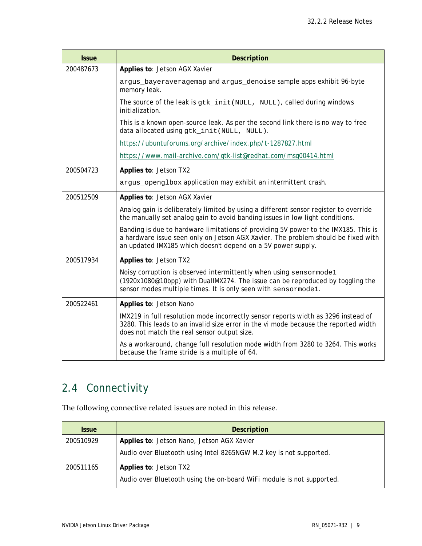| <b>Issue</b> | <b>Description</b>                                                                                                                                                                                                                       |
|--------------|------------------------------------------------------------------------------------------------------------------------------------------------------------------------------------------------------------------------------------------|
| 200487673    | Applies to: Jetson AGX Xavier                                                                                                                                                                                                            |
|              | argus_bayeraveragemap and argus_denoise sample apps exhibit 96-byte<br>memory leak.                                                                                                                                                      |
|              | The source of the leak is gtk_init (NULL, NULL), called during windows<br>initialization.                                                                                                                                                |
|              | This is a known open-source leak. As per the second link there is no way to free<br>data allocated using gtk_init(NULL, NULL).                                                                                                           |
|              | https://ubuntuforums.org/archive/index.php/t-1287827.html                                                                                                                                                                                |
|              | https://www.mail-archive.com/gtk-list@redhat.com/msg00414.html                                                                                                                                                                           |
| 200504723    | Applies to: Jetson TX2                                                                                                                                                                                                                   |
|              | argus_openglbox application may exhibit an intermittent crash.                                                                                                                                                                           |
| 200512509    | Applies to: Jetson AGX Xavier                                                                                                                                                                                                            |
|              | Analog gain is deliberately limited by using a different sensor register to override<br>the manually set analog gain to avoid banding issues in low light conditions.                                                                    |
|              | Banding is due to hardware limitations of providing 5V power to the IMX185. This is<br>a hardware issue seen only on Jetson AGX Xavier. The problem should be fixed with<br>an updated IMX185 which doesn't depend on a 5V power supply. |
| 200517934    | Applies to: Jetson TX2                                                                                                                                                                                                                   |
|              | Noisy corruption is observed intermittently when using sensormode1<br>(1920x1080@10bpp) with DuallMX274. The issue can be reproduced by toggling the<br>sensor modes multiple times. It is only seen with sensormode1.                   |
| 200522461    | Applies to: Jetson Nano                                                                                                                                                                                                                  |
|              | IMX219 in full resolution mode incorrectly sensor reports width as 3296 instead of<br>3280. This leads to an invalid size error in the vi mode because the reported width<br>does not match the real sensor output size.                 |
|              | As a workaround, change full resolution mode width from 3280 to 3264. This works<br>because the frame stride is a multiple of 64.                                                                                                        |

# <span id="page-8-0"></span>2.4 Connectivity

The following connective related issues are noted in this release.

| <b>Issue</b> | <b>Description</b>                                                    |
|--------------|-----------------------------------------------------------------------|
| 200510929    | Applies to: Jetson Nano, Jetson AGX Xavier                            |
|              | Audio over Bluetooth using Intel 8265NGW M.2 key is not supported.    |
| 200511165    | Applies to: Jetson TX2                                                |
|              | Audio over Bluetooth using the on-board WiFi module is not supported. |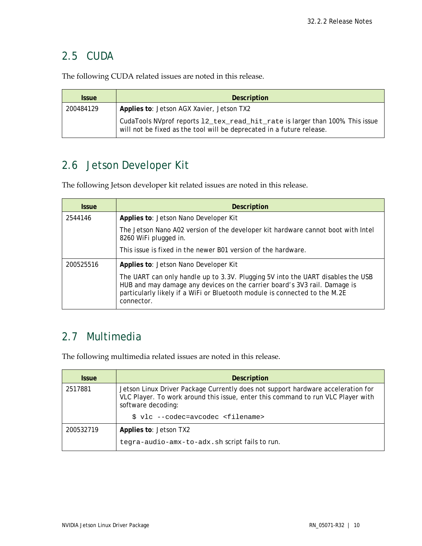## <span id="page-9-0"></span>2.5 CUDA

The following CUDA related issues are noted in this release.

| <b>Issue</b> | <b>Description</b>                                                                                                                                     |
|--------------|--------------------------------------------------------------------------------------------------------------------------------------------------------|
| 200484129    | Applies to: Jetson AGX Xavier, Jetson TX2                                                                                                              |
|              | CudaTools NVprof reports 12_tex_read_hit_rate is larger than 100%. This issue<br>will not be fixed as the tool will be deprecated in a future release. |

# <span id="page-9-1"></span>2.6 Jetson Developer Kit

The following Jetson developer kit related issues are noted in this release.

| <b>Issue</b> | <b>Description</b>                                                                                                                                                                                                                                       |
|--------------|----------------------------------------------------------------------------------------------------------------------------------------------------------------------------------------------------------------------------------------------------------|
| 2544146      | Applies to: Jetson Nano Developer Kit                                                                                                                                                                                                                    |
|              | The Jetson Nano A02 version of the developer kit hardware cannot boot with Intel<br>8260 WiFi plugged in.                                                                                                                                                |
|              | This issue is fixed in the newer B01 version of the hardware.                                                                                                                                                                                            |
| 200525516    | Applies to: Jetson Nano Developer Kit                                                                                                                                                                                                                    |
|              | The UART can only handle up to 3.3V. Plugging 5V into the UART disables the USB<br>HUB and may damage any devices on the carrier board's 3V3 rail. Damage is<br>particularly likely if a WiFi or Bluetooth module is connected to the M.2E<br>connector. |

## <span id="page-9-2"></span>2.7 Multimedia

The following multimedia related issues are noted in this release.

| <b>Issue</b> | <b>Description</b>                                                                                                                                                                         |
|--------------|--------------------------------------------------------------------------------------------------------------------------------------------------------------------------------------------|
| 2517881      | Jetson Linux Driver Package Currently does not support hardware acceleration for<br>VLC Player. To work around this issue, enter this command to run VLC Player with<br>software decoding: |
|              | \$ vlc --codec=avcodec <filename></filename>                                                                                                                                               |
| 200532719    | Applies to: Jetson TX2                                                                                                                                                                     |
|              | tegra-audio-amx-to-adx.sh script fails to run.                                                                                                                                             |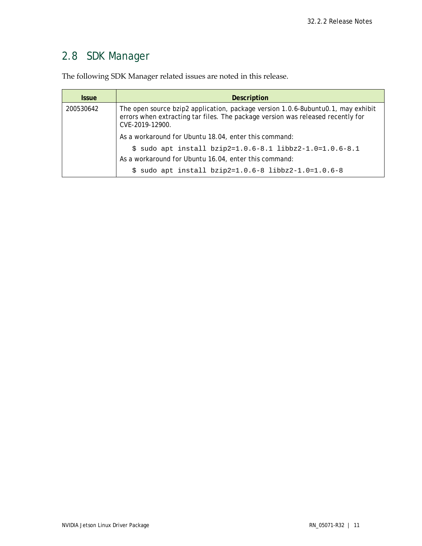# <span id="page-10-0"></span>2.8 SDK Manager

The following SDK Manager related issues are noted in this release.

| <b>Issue</b> | <b>Description</b>                                                                                                                                                                     |
|--------------|----------------------------------------------------------------------------------------------------------------------------------------------------------------------------------------|
| 200530642    | The open source bzip2 application, package version 1.0.6-8ubuntu0.1, may exhibit<br>errors when extracting tar files. The package version was released recently for<br>CVE-2019-12900. |
|              | As a workaround for Ubuntu 18.04, enter this command:                                                                                                                                  |
|              | $$$ sudo apt install bzip2=1.0.6-8.1 libbz2-1.0=1.0.6-8.1                                                                                                                              |
|              | As a workaround for Ubuntu 16.04, enter this command:                                                                                                                                  |
|              | \$ sudo apt install $bzip2=1.0.6-8$ libbz2-1.0=1.0.6-8                                                                                                                                 |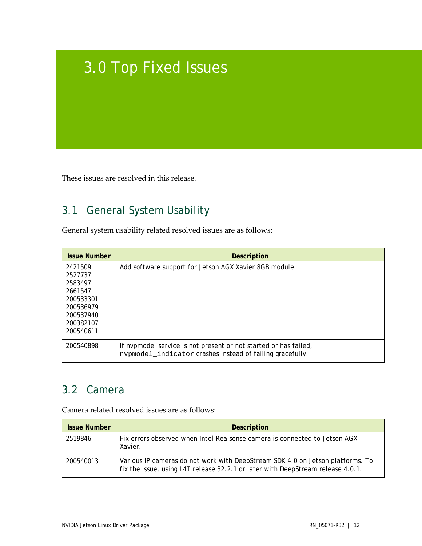# <span id="page-11-0"></span>3.0 Top Fixed Issues

<span id="page-11-1"></span>These issues are resolved in this release.

# 3.1 General System Usability

General system usability related resolved issues are as follows:

| <b>Issue Number</b>                                                                                       | <b>Description</b>                                                                                                            |
|-----------------------------------------------------------------------------------------------------------|-------------------------------------------------------------------------------------------------------------------------------|
| 2421509<br>2527737<br>2583497<br>2661547<br>200533301<br>200536979<br>200537940<br>200382107<br>200540611 | Add software support for Jetson AGX Xavier 8GB module.                                                                        |
| 200540898                                                                                                 | If nypmodel service is not present or not started or has failed,<br>nvpmodel_indicator crashes instead of failing gracefully. |

# <span id="page-11-2"></span>3.2 Camera

Camera related resolved issues are as follows:

| <b>Issue Number</b> | <b>Description</b>                                                                                                                                                |
|---------------------|-------------------------------------------------------------------------------------------------------------------------------------------------------------------|
| 2519846             | Fix errors observed when Intel Realsense camera is connected to Jetson AGX<br>Xavier.                                                                             |
| 200540013           | Various IP cameras do not work with DeepStream SDK 4.0 on Jetson platforms. To<br>fix the issue, using L4T release 32.2.1 or later with DeepStream release 4.0.1. |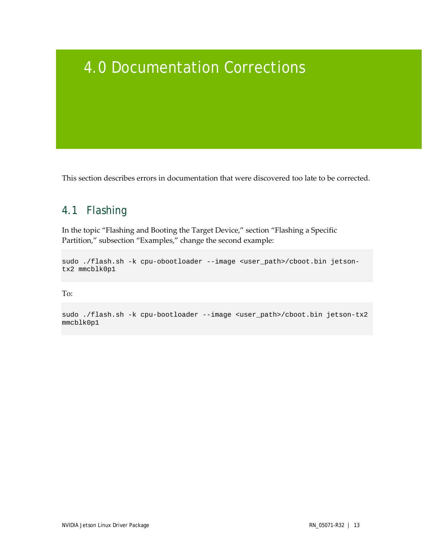# <span id="page-12-0"></span>4.0 Documentation Corrections

<span id="page-12-1"></span>This section describes errors in documentation that were discovered too late to be corrected.

# 4.1 Flashing

In the topic "Flashing and Booting the Target Device," section "Flashing a Specific Partition," subsection "Examples," change the second example:

sudo ./flash.sh -k cpu-obootloader --image <user\_path>/cboot.bin jetsontx2 mmcblk0p1

To:

sudo ./flash.sh -k cpu-bootloader --image <user\_path>/cboot.bin jetson-tx2 mmcblk0p1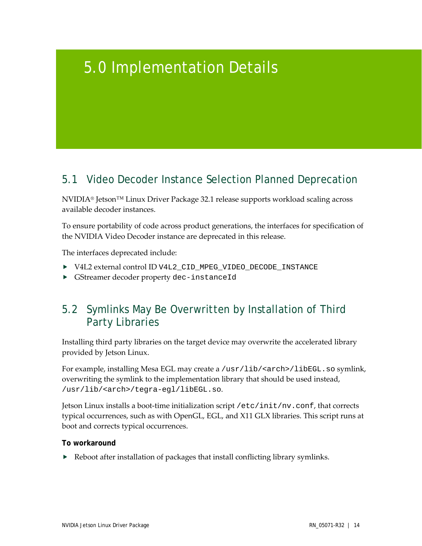# <span id="page-13-0"></span>5.0 Implementation Details

# <span id="page-13-1"></span>5.1 Video Decoder Instance Selection Planned Deprecation

NVIDIA® Jetson™ Linux Driver Package 32.1 release supports workload scaling across available decoder instances.

To ensure portability of code across product generations, the interfaces for specification of the NVIDIA Video Decoder instance are deprecated in this release.

The interfaces deprecated include:

- V4L2 external control ID V4L2\_CID\_MPEG\_VIDEO\_DECODE\_INSTANCE
- <span id="page-13-2"></span>GStreamer decoder property dec-instanceId

# 5.2 Symlinks May Be Overwritten by Installation of Third Party Libraries

Installing third party libraries on the target device may overwrite the accelerated library provided by Jetson Linux.

For example, installing Mesa EGL may create a /usr/lib/<arch>/libEGL.so symlink, overwriting the symlink to the implementation library that should be used instead, /usr/lib/<arch>/tegra-egl/libEGL.so.

Jetson Linux installs a boot-time initialization script /etc/init/nv.conf, that corrects typical occurrences, such as with OpenGL, EGL, and X11 GLX libraries. This script runs at boot and corrects typical occurrences.

#### **To workaround**

 $\blacktriangleright$  Reboot after installation of packages that install conflicting library symlinks.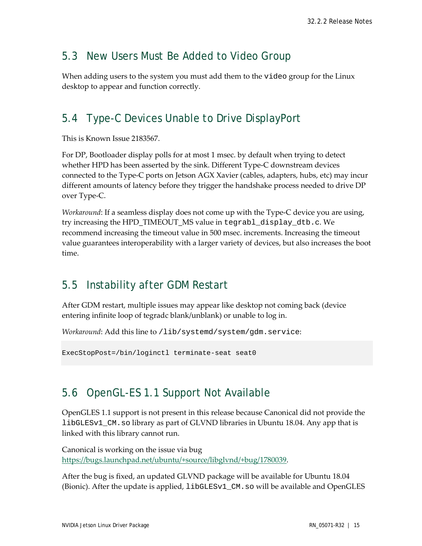## <span id="page-14-0"></span>5.3 New Users Must Be Added to Video Group

When adding users to the system you must add them to the video group for the Linux desktop to appear and function correctly.

# <span id="page-14-1"></span>5.4 Type-C Devices Unable to Drive DisplayPort

This is Known Issue 2183567.

For DP, Bootloader display polls for at most 1 msec. by default when trying to detect whether HPD has been asserted by the sink. Different Type-C downstream devices connected to the Type-C ports on Jetson AGX Xavier (cables, adapters, hubs, etc) may incur different amounts of latency before they trigger the handshake process needed to drive DP over Type-C.

*Workaround*: If a seamless display does not come up with the Type-C device you are using, try increasing the HPD\_TIMEOUT\_MS value in tegrabl\_display\_dtb.c. We recommend increasing the timeout value in 500 msec. increments. Increasing the timeout value guarantees interoperability with a larger variety of devices, but also increases the boot time.

# <span id="page-14-2"></span>5.5 Instability after GDM Restart

After GDM restart, multiple issues may appear like desktop not coming back (device entering infinite loop of tegradc blank/unblank) or unable to log in.

*Workaround*: Add this line to /lib/systemd/system/gdm.service:

<span id="page-14-3"></span>ExecStopPost=/bin/loginctl terminate-seat seat0

# 5.6 OpenGL-ES 1.1 Support Not Available

OpenGLES 1.1 support is not present in this release because Canonical did not provide the libGLESv1\_CM.so library as part of GLVND libraries in Ubuntu 18.04. Any app that is linked with this library cannot run.

Canonical is working on the issue via bug [https://bugs.launchpad.net/ubuntu/+source/libglvnd/+bug/1780039.](https://bugs.launchpad.net/ubuntu/+source/libglvnd/+bug/1780039)

After the bug is fixed, an updated GLVND package will be available for Ubuntu 18.04 (Bionic). After the update is applied, libGLESv1\_CM.so will be available and OpenGLES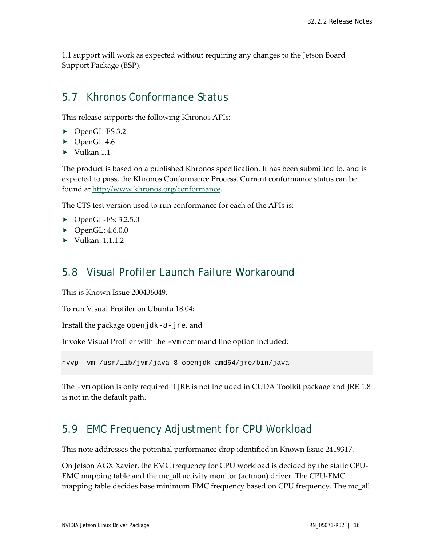1.1 support will work as expected without requiring any changes to the Jetson Board Support Package (BSP).

## <span id="page-15-0"></span>5.7 Khronos Conformance Status

This release supports the following Khronos APIs:

- ▶ OpenGL-ES 3.2
- ▶ OpenGL 4.6
- $\blacktriangleright$  Vulkan 1.1

The product is based on a published Khronos specification. It has been submitted to, and is expected to pass, the Khronos Conformance Process. Current conformance status can be found at [http://www.khronos.org/conformance.](http://www.khronos.org/conformance)

The CTS test version used to run conformance for each of the APIs is:

- $\triangleright$  OpenGL-ES: 3.2.5.0
- $\blacktriangleright$  OpenGL: 4.6.0.0
- <span id="page-15-1"></span> $\blacktriangleright$  Vulkan: 1.1.1.2

## 5.8 Visual Profiler Launch Failure Workaround

This is Known Issue 200436049.

To run Visual Profiler on Ubuntu 18.04:

Install the package openjdk-8-jre, and

Invoke Visual Profiler with the -vm command line option included:

nvvp -vm /usr/lib/jvm/java-8-openjdk-amd64/jre/bin/java

The -vm option is only required if JRE is not included in CUDA Toolkit package and JRE 1.8 is not in the default path.

## <span id="page-15-2"></span>5.9 EMC Frequency Adjustment for CPU Workload

This note addresses the potential performance drop identified in Known Issue 2419317.

On Jetson AGX Xavier, the EMC frequency for CPU workload is decided by the static CPU-EMC mapping table and the mc\_all activity monitor (actmon) driver. The CPU-EMC mapping table decides base minimum EMC frequency based on CPU frequency. The mc\_all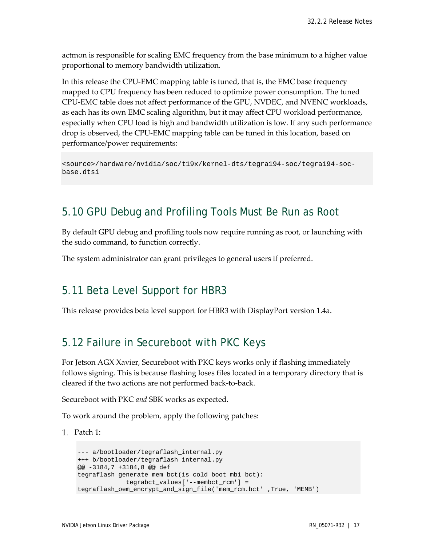actmon is responsible for scaling EMC frequency from the base minimum to a higher value proportional to memory bandwidth utilization.

In this release the CPU-EMC mapping table is tuned, that is, the EMC base frequency mapped to CPU frequency has been reduced to optimize power consumption. The tuned CPU-EMC table does not affect performance of the GPU, NVDEC, and NVENC workloads, as each has its own EMC scaling algorithm, but it may affect CPU workload performance, especially when CPU load is high and bandwidth utilization is low. If any such performance drop is observed, the CPU-EMC mapping table can be tuned in this location, based on performance/power requirements:

```
<source>/hardware/nvidia/soc/t19x/kernel-dts/tegra194-soc/tegra194-soc-
base.dtsi
```
## <span id="page-16-0"></span>5.10 GPU Debug and Profiling Tools Must Be Run as Root

By default GPU debug and profiling tools now require running as root, or launching with the sudo command, to function correctly.

<span id="page-16-1"></span>The system administrator can grant privileges to general users if preferred.

## 5.11 Beta Level Support for HBR3

<span id="page-16-2"></span>This release provides beta level support for HBR3 with DisplayPort version 1.4a.

## 5.12 Failure in Secureboot with PKC Keys

For Jetson AGX Xavier, Secureboot with PKC keys works only if flashing immediately follows signing. This is because flashing loses files located in a temporary directory that is cleared if the two actions are not performed back-to-back.

Secureboot with PKC *and* SBK works as expected.

To work around the problem, apply the following patches:

Patch 1:

```
--- a/bootloader/tegraflash_internal.py
+++ b/bootloader/tegraflash_internal.py
@@ -3184,7 +3184,8 @@ def 
tegraflash_generate_mem_bct(is_cold_boot_mb1_bct):
             tegrabct_values['--membct_rcm'] = 
tegraflash_oem_encrypt_and_sign_file('mem_rcm.bct' ,True, 'MEMB')
```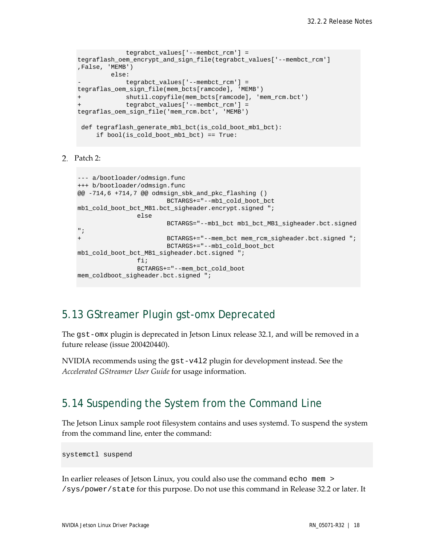```
 tegrabct_values['--membct_rcm'] = 
tegraflash_oem_encrypt_and_sign_file(tegrabct_values['--membct_rcm'] 
,False, 'MEMB')
         else:
             - tegrabct_values['--membct_rcm'] = 
tegraflas_oem_sign_file(mem_bcts[ramcode], 'MEMB')
             shutil.copyfile(mem_bcts[ramcode], 'mem_rcm.bct')
             + tegrabct_values['--membct_rcm'] = 
tegraflas_oem_sign_file('mem_rcm.bct', 'MEMB')
 def tegraflash_generate_mb1_bct(is_cold_boot_mb1_bct):
      if bool(is_cold_boot_mb1_bct) == True:
```
Patch 2:

```
--- a/bootloader/odmsign.func
+++ b/bootloader/odmsign.func
@@ -714,6 +714,7 @@ odmsign_sbk_and_pkc_flashing ()
                       BCTARGS+="--mb1_cold_boot_bct 
mb1_cold_boot_bct_MB1.bct_sigheader.encrypt.signed ";
              else
                      BCTARGS="--mb1_bct mb1_bct_MB1_sigheader.bct.signed 
";
+ BCTARGS+="--mem_bct mem_rcm_sigheader.bct.signed ";
                       BCTARGS+="--mb1_cold_boot_bct 
mb1_cold_boot_bct_MB1_sigheader.bct.signed ";
               fi;
                BCTARGS+="--mem_bct_cold_boot 
mem_coldboot_sigheader.bct.signed ";
```
## <span id="page-17-0"></span>5.13 GStreamer Plugin gst-omx Deprecated

The gst-omx plugin is deprecated in Jetson Linux release 32.1, and will be removed in a future release (issue 200420440).

NVIDIA recommends using the gst-v4l2 plugin for development instead. See the *Accelerated GStreamer User Guide* for usage information.

## <span id="page-17-1"></span>5.14 Suspending the System from the Command Line

The Jetson Linux sample root filesystem contains and uses systemd. To suspend the system from the command line, enter the command:

systemctl suspend

In earlier releases of Jetson Linux, you could also use the command echo mem > /sys/power/state for this purpose. Do not use this command in Release 32.2 or later. It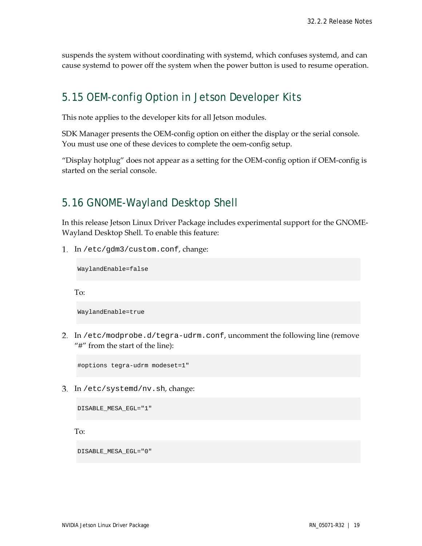suspends the system without coordinating with systemd, which confuses systemd, and can cause systemd to power off the system when the power button is used to resume operation.

## <span id="page-18-0"></span>5.15 OEM-config Option in Jetson Developer Kits

This note applies to the developer kits for all Jetson modules.

SDK Manager presents the OEM-config option on either the display or the serial console. You must use one of these devices to complete the oem-config setup.

"Display hotplug" does not appear as a setting for the OEM-config option if OEM-config is started on the serial console.

## <span id="page-18-1"></span>5.16 GNOME-Wayland Desktop Shell

In this release Jetson Linux Driver Package includes experimental support for the GNOME-Wayland Desktop Shell. To enable this feature:

In /etc/gdm3/custom.conf, change:

WaylandEnable=false

To:

WaylandEnable=true

2. In /etc/modprobe.d/tegra-udrm.conf, uncomment the following line (remove "#" from the start of the line):

#options tegra-udrm modeset=1"

In /etc/systemd/nv.sh, change:

DISABLE\_MESA\_EGL="1"

To:

DISABLE\_MESA\_EGL="0"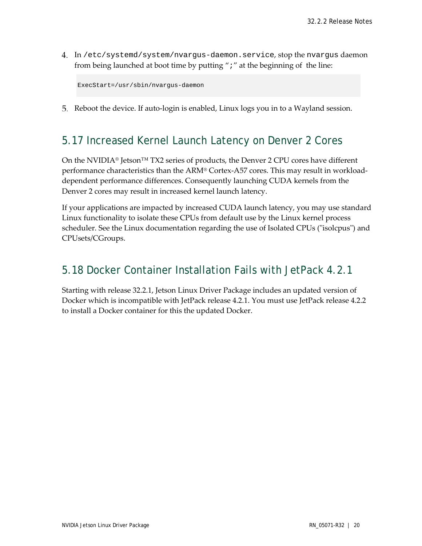In /etc/systemd/system/nvargus-daemon.service, stop the nvargus daemon from being launched at boot time by putting ";" at the beginning of the line:

ExecStart=/usr/sbin/nvargus-daemon

<span id="page-19-0"></span>Reboot the device. If auto-login is enabled, Linux logs you in to a Wayland session.

## 5.17 Increased Kernel Launch Latency on Denver 2 Cores

On the NVIDIA® Jetson<sup>™</sup> TX2 series of products, the Denver 2 CPU cores have different performance characteristics than the ARM® Cortex-A57 cores. This may result in workloaddependent performance differences. Consequently launching CUDA kernels from the Denver 2 cores may result in increased kernel launch latency.

If your applications are impacted by increased CUDA launch latency, you may use standard Linux functionality to isolate these CPUs from default use by the Linux kernel process scheduler. See the Linux documentation regarding the use of Isolated CPUs ("isolcpus") and CPUsets/CGroups.

## <span id="page-19-1"></span>5.18 Docker Container Installation Fails with JetPack 4.2.1

Starting with release 32.2.1, Jetson Linux Driver Package includes an updated version of Docker which is incompatible with JetPack release 4.2.1. You must use JetPack release 4.2.2 to install a Docker container for this the updated Docker.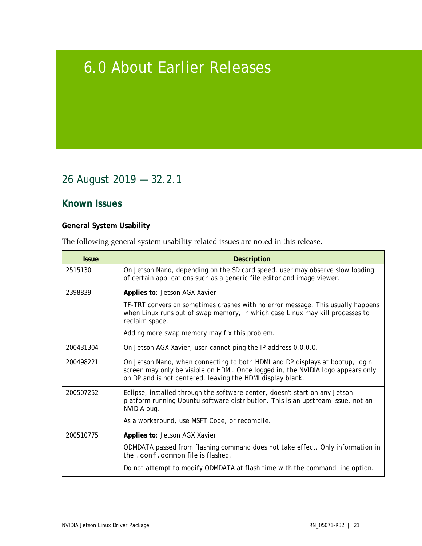# <span id="page-20-0"></span>6.0 About Earlier Releases

# <span id="page-20-1"></span>26 August 2019 — 32.2.1

## **Known Issues**

## **General System Usability**

The following general system usability related issues are noted in this release.

| <b>Issue</b> | <b>Description</b>                                                                                                                                                                                                              |
|--------------|---------------------------------------------------------------------------------------------------------------------------------------------------------------------------------------------------------------------------------|
| 2515130      | On Jetson Nano, depending on the SD card speed, user may observe slow loading<br>of certain applications such as a generic file editor and image viewer.                                                                        |
| 2398839      | Applies to: Jetson AGX Xavier                                                                                                                                                                                                   |
|              | TF-TRT conversion sometimes crashes with no error message. This usually happens<br>when Linux runs out of swap memory, in which case Linux may kill processes to<br>reclaim space.                                              |
|              | Adding more swap memory may fix this problem.                                                                                                                                                                                   |
| 200431304    | On Jetson AGX Xavier, user cannot ping the IP address 0.0.0.0.                                                                                                                                                                  |
| 200498221    | On Jetson Nano, when connecting to both HDMI and DP displays at bootup, login<br>screen may only be visible on HDMI. Once logged in, the NVIDIA logo appears only<br>on DP and is not centered, leaving the HDMI display blank. |
| 200507252    | Eclipse, installed through the software center, doesn't start on any Jetson<br>platform running Ubuntu software distribution. This is an upstream issue, not an<br>NVIDIA bug.                                                  |
|              | As a workaround, use MSFT Code, or recompile.                                                                                                                                                                                   |
| 200510775    | Applies to: Jetson AGX Xavier                                                                                                                                                                                                   |
|              | ODMDATA passed from flashing command does not take effect. Only information in<br>the .conf.common file is flashed.                                                                                                             |
|              | Do not attempt to modify ODMDATA at flash time with the command line option.                                                                                                                                                    |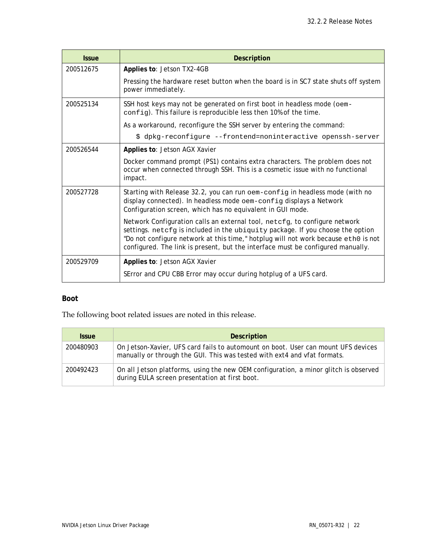| <b>Issue</b> | <b>Description</b>                                                                                                                                                                                                                                                                                                                    |
|--------------|---------------------------------------------------------------------------------------------------------------------------------------------------------------------------------------------------------------------------------------------------------------------------------------------------------------------------------------|
| 200512675    | Applies to: Jetson TX2-4GB                                                                                                                                                                                                                                                                                                            |
|              | Pressing the hardware reset button when the board is in SC7 state shuts off system<br>power immediately.                                                                                                                                                                                                                              |
| 200525134    | SSH host keys may not be generated on first boot in headless mode (oem-<br>config). This failure is reproducible less then 10% of the time.                                                                                                                                                                                           |
|              | As a workaround, reconfigure the SSH server by entering the command:                                                                                                                                                                                                                                                                  |
|              | \$ dpkg-reconfigure --frontend=noninteractive openssh-server                                                                                                                                                                                                                                                                          |
| 200526544    | Applies to: Jetson AGX Xavier                                                                                                                                                                                                                                                                                                         |
|              | Docker command prompt (PS1) contains extra characters. The problem does not<br>occur when connected through SSH. This is a cosmetic issue with no functional<br>impact.                                                                                                                                                               |
| 200527728    | Starting with Release 32.2, you can run oem-config in headless mode (with no<br>display connected). In headless mode oem-config displays a Network<br>Configuration screen, which has no equivalent in GUI mode.                                                                                                                      |
|              | Network Configuration calls an external tool, netcfg, to configure network<br>settings. netcfg is included in the ubiquity package. If you choose the option<br>"Do not configure network at this time," hotplug will not work because eth0 is not<br>configured. The link is present, but the interface must be configured manually. |
| 200529709    | Applies to: Jetson AGX Xavier                                                                                                                                                                                                                                                                                                         |
|              | SError and CPU CBB Error may occur during hotplug of a UFS card.                                                                                                                                                                                                                                                                      |

## **Boot**

The following boot related issues are noted in this release.

| <b>Issue</b> | <b>Description</b>                                                                                                                                            |
|--------------|---------------------------------------------------------------------------------------------------------------------------------------------------------------|
| 200480903    | On Jetson-Xavier, UFS card fails to automount on boot. User can mount UFS devices<br>manually or through the GUI. This was tested with ext4 and vfat formats. |
| 200492423    | On all Jetson platforms, using the new OEM configuration, a minor glitch is observed<br>during EULA screen presentation at first boot.                        |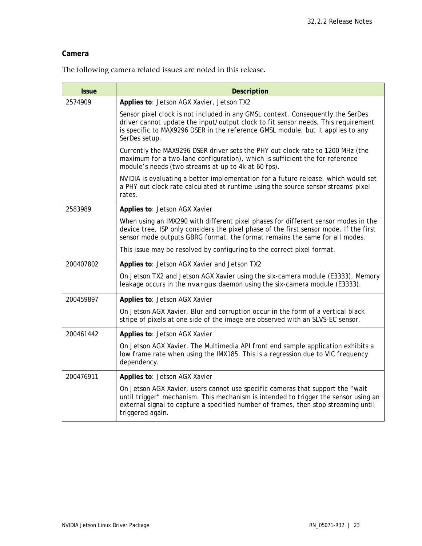### **Camera**

The following camera related issues are noted in this release.

| <b>Issue</b> | <b>Description</b>                                                                                                                                                                                                                                                               |
|--------------|----------------------------------------------------------------------------------------------------------------------------------------------------------------------------------------------------------------------------------------------------------------------------------|
| 2574909      | Applies to: Jetson AGX Xavier, Jetson TX2                                                                                                                                                                                                                                        |
|              | Sensor pixel clock is not included in any GMSL context. Consequently the SerDes<br>driver cannot update the input/output clock to fit sensor needs. This requirement<br>is specific to MAX9296 DSER in the reference GMSL module, but it applies to any<br>SerDes setup.         |
|              | Currently the MAX9296 DSER driver sets the PHY out clock rate to 1200 MHz (the<br>maximum for a two-lane configuration), which is sufficient the for reference<br>module's needs (two streams at up to 4k at 60 fps).                                                            |
|              | NVIDIA is evaluating a better implementation for a future release, which would set<br>a PHY out clock rate calculated at runtime using the source sensor streams' pixel<br>rates.                                                                                                |
| 2583989      | Applies to: Jetson AGX Xavier                                                                                                                                                                                                                                                    |
|              | When using an IMX290 with different pixel phases for different sensor modes in the<br>device tree, ISP only considers the pixel phase of the first sensor mode. If the first<br>sensor mode outputs GBRG format, the format remains the same for all modes.                      |
|              | This issue may be resolved by configuring to the correct pixel format.                                                                                                                                                                                                           |
| 200407802    | Applies to: Jetson AGX Xavier and Jetson TX2                                                                                                                                                                                                                                     |
|              | On Jetson TX2 and Jetson AGX Xavier using the six-camera module (E3333), Memory<br>leakage occurs in the nvargus daemon using the six-camera module (E3333).                                                                                                                     |
| 200459897    | Applies to: Jetson AGX Xavier                                                                                                                                                                                                                                                    |
|              | On Jetson AGX Xavier, Blur and corruption occur in the form of a vertical black<br>stripe of pixels at one side of the image are observed with an SLVS-EC sensor.                                                                                                                |
| 200461442    | Applies to: Jetson AGX Xavier                                                                                                                                                                                                                                                    |
|              | On Jetson AGX Xavier, The Multimedia API front end sample application exhibits a<br>low frame rate when using the IMX185. This is a regression due to VIC frequency<br>dependency.                                                                                               |
| 200476911    | Applies to: Jetson AGX Xavier                                                                                                                                                                                                                                                    |
|              | On Jetson AGX Xavier, users cannot use specific cameras that support the "wait"<br>until trigger" mechanism. This mechanism is intended to trigger the sensor using an<br>external signal to capture a specified number of frames, then stop streaming until<br>triggered again. |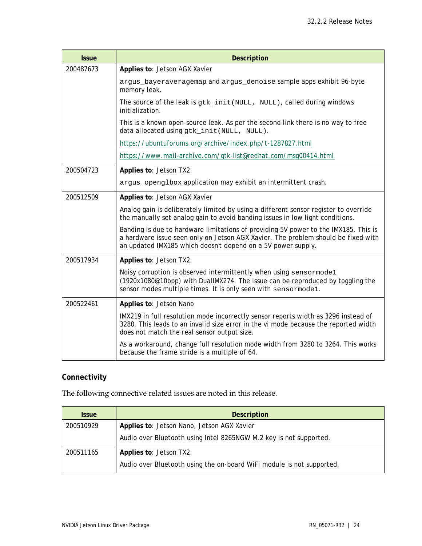| <b>Issue</b> | <b>Description</b>                                                                                                                                                                                                                       |
|--------------|------------------------------------------------------------------------------------------------------------------------------------------------------------------------------------------------------------------------------------------|
| 200487673    | Applies to: Jetson AGX Xavier                                                                                                                                                                                                            |
|              | argus_bayeraveragemap and argus_denoise sample apps exhibit 96-byte<br>memory leak.                                                                                                                                                      |
|              | The source of the leak is gtk_init (NULL, NULL), called during windows<br>initialization.                                                                                                                                                |
|              | This is a known open-source leak. As per the second link there is no way to free<br>data allocated using gtk_init(NULL, NULL).                                                                                                           |
|              | https://ubuntuforums.org/archive/index.php/t-1287827.html                                                                                                                                                                                |
|              | https://www.mail-archive.com/gtk-list@redhat.com/msg00414.html                                                                                                                                                                           |
| 200504723    | Applies to: Jetson TX2                                                                                                                                                                                                                   |
|              | argus_openglbox application may exhibit an intermittent crash.                                                                                                                                                                           |
| 200512509    | Applies to: Jetson AGX Xavier                                                                                                                                                                                                            |
|              | Analog gain is deliberately limited by using a different sensor register to override<br>the manually set analog gain to avoid banding issues in low light conditions.                                                                    |
|              | Banding is due to hardware limitations of providing 5V power to the IMX185. This is<br>a hardware issue seen only on Jetson AGX Xavier. The problem should be fixed with<br>an updated IMX185 which doesn't depend on a 5V power supply. |
| 200517934    | Applies to: Jetson TX2                                                                                                                                                                                                                   |
|              | Noisy corruption is observed intermittently when using sensormode1<br>(1920x1080@10bpp) with DuallMX274. The issue can be reproduced by toggling the<br>sensor modes multiple times. It is only seen with sensormode1.                   |
| 200522461    | Applies to: Jetson Nano                                                                                                                                                                                                                  |
|              | IMX219 in full resolution mode incorrectly sensor reports width as 3296 instead of<br>3280. This leads to an invalid size error in the vi mode because the reported width<br>does not match the real sensor output size.                 |
|              | As a workaround, change full resolution mode width from 3280 to 3264. This works<br>because the frame stride is a multiple of 64.                                                                                                        |

## **Connectivity**

The following connective related issues are noted in this release.

| <b>Issue</b> | Description                                                           |
|--------------|-----------------------------------------------------------------------|
| 200510929    | Applies to: Jetson Nano, Jetson AGX Xavier                            |
|              | Audio over Bluetooth using Intel 8265NGW M.2 key is not supported.    |
| 200511165    | Applies to: Jetson TX2                                                |
|              | Audio over Bluetooth using the on-board WiFi module is not supported. |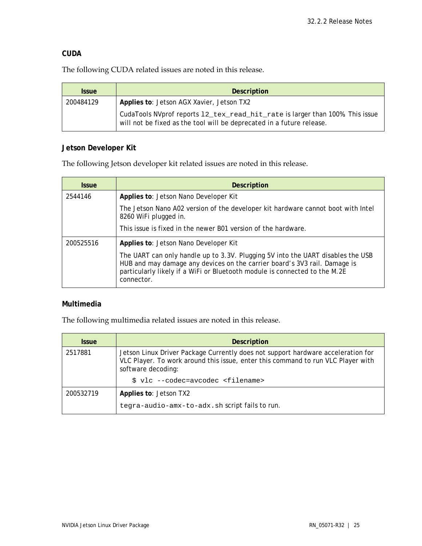#### **CUDA**

The following CUDA related issues are noted in this release.

| <b>Issue</b> | <b>Description</b>                                                                                                                                     |
|--------------|--------------------------------------------------------------------------------------------------------------------------------------------------------|
| 200484129    | Applies to: Jetson AGX Xavier, Jetson TX2                                                                                                              |
|              | CudaTools NVprof reports 12_tex_read_hit_rate is larger than 100%. This issue<br>will not be fixed as the tool will be deprecated in a future release. |

#### **Jetson Developer Kit**

The following Jetson developer kit related issues are noted in this release.

| <b>Issue</b> | <b>Description</b>                                                                                                                                                                                                                                       |
|--------------|----------------------------------------------------------------------------------------------------------------------------------------------------------------------------------------------------------------------------------------------------------|
| 2544146      | Applies to: Jetson Nano Developer Kit                                                                                                                                                                                                                    |
|              | The Jetson Nano A02 version of the developer kit hardware cannot boot with Intel<br>8260 WiFi plugged in.                                                                                                                                                |
|              | This issue is fixed in the newer B01 version of the hardware.                                                                                                                                                                                            |
| 200525516    | Applies to: Jetson Nano Developer Kit                                                                                                                                                                                                                    |
|              | The UART can only handle up to 3.3V. Plugging 5V into the UART disables the USB<br>HUB and may damage any devices on the carrier board's 3V3 rail. Damage is<br>particularly likely if a WiFi or Bluetooth module is connected to the M.2E<br>connector. |

## **Multimedia**

The following multimedia related issues are noted in this release.

| <b>Issue</b> | <b>Description</b>                                                                                                                                                                         |
|--------------|--------------------------------------------------------------------------------------------------------------------------------------------------------------------------------------------|
| 2517881      | Jetson Linux Driver Package Currently does not support hardware acceleration for<br>VLC Player. To work around this issue, enter this command to run VLC Player with<br>software decoding: |
|              | \$ vlc --codec=avcodec <filename></filename>                                                                                                                                               |
| 200532719    | Applies to: Jetson TX2                                                                                                                                                                     |
|              | tegra-audio-amx-to-adx.sh script fails to run.                                                                                                                                             |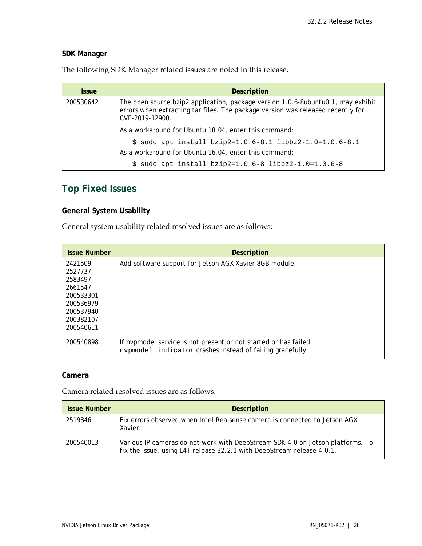## **SDK Manager**

The following SDK Manager related issues are noted in this release.

| <i><b>Issue</b></i> | <b>Description</b>                                                                                                                                                                     |
|---------------------|----------------------------------------------------------------------------------------------------------------------------------------------------------------------------------------|
| 200530642           | The open source bzip2 application, package version 1.0.6-8ubuntu0.1, may exhibit<br>errors when extracting tar files. The package version was released recently for<br>CVE-2019-12900. |
|                     | As a workaround for Ubuntu 18.04, enter this command:                                                                                                                                  |
|                     | $$$ sudo apt install bzip2=1.0.6-8.1 libbz2-1.0=1.0.6-8.1                                                                                                                              |
|                     | As a workaround for Ubuntu 16.04, enter this command:                                                                                                                                  |
|                     | sudo apt install bzip2=1.0.6-8 libbz2-1.0=1.0.6-8<br>S.                                                                                                                                |

## **Top Fixed Issues**

## **General System Usability**

General system usability related resolved issues are as follows:

| <b>Issue Number</b>                                                                                       | <b>Description</b>                                                                                                            |
|-----------------------------------------------------------------------------------------------------------|-------------------------------------------------------------------------------------------------------------------------------|
| 2421509<br>2527737<br>2583497<br>2661547<br>200533301<br>200536979<br>200537940<br>200382107<br>200540611 | Add software support for Jetson AGX Xavier 8GB module.                                                                        |
| 200540898                                                                                                 | If nypmodel service is not present or not started or has failed,<br>nvpmodel_indicator crashes instead of failing gracefully. |

#### **Camera**

Camera related resolved issues are as follows:

| <b>Issue Number</b> | <b>Description</b>                                                                                                                                       |
|---------------------|----------------------------------------------------------------------------------------------------------------------------------------------------------|
| 2519846             | Fix errors observed when Intel Realsense camera is connected to Jetson AGX<br>Xavier.                                                                    |
| 200540013           | Various IP cameras do not work with DeepStream SDK 4.0 on Jetson platforms. To<br>fix the issue, using L4T release 32.2.1 with DeepStream release 4.0.1. |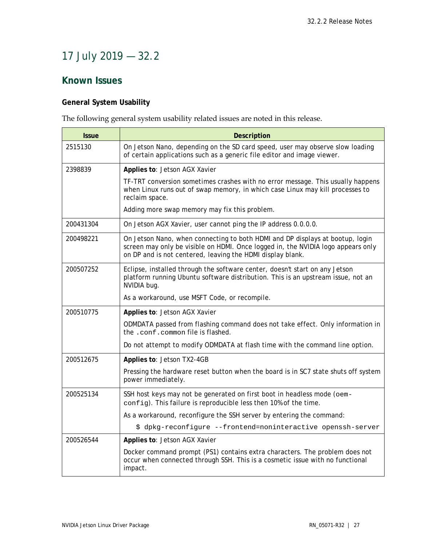# <span id="page-26-0"></span>17 July 2019 — 32.2

## **Known Issues**

## **General System Usability**

The following general system usability related issues are noted in this release.

| <b>Issue</b> | <b>Description</b>                                                                                                                                                                                                              |
|--------------|---------------------------------------------------------------------------------------------------------------------------------------------------------------------------------------------------------------------------------|
| 2515130      | On Jetson Nano, depending on the SD card speed, user may observe slow loading<br>of certain applications such as a generic file editor and image viewer.                                                                        |
| 2398839      | Applies to: Jetson AGX Xavier                                                                                                                                                                                                   |
|              | TF-TRT conversion sometimes crashes with no error message. This usually happens<br>when Linux runs out of swap memory, in which case Linux may kill processes to<br>reclaim space.                                              |
|              | Adding more swap memory may fix this problem.                                                                                                                                                                                   |
| 200431304    | On Jetson AGX Xavier, user cannot ping the IP address 0.0.0.0.                                                                                                                                                                  |
| 200498221    | On Jetson Nano, when connecting to both HDMI and DP displays at bootup, login<br>screen may only be visible on HDMI. Once logged in, the NVIDIA logo appears only<br>on DP and is not centered, leaving the HDMI display blank. |
| 200507252    | Eclipse, installed through the software center, doesn't start on any Jetson<br>platform running Ubuntu software distribution. This is an upstream issue, not an<br>NVIDIA bug.                                                  |
|              | As a workaround, use MSFT Code, or recompile.                                                                                                                                                                                   |
| 200510775    | Applies to: Jetson AGX Xavier                                                                                                                                                                                                   |
|              | ODMDATA passed from flashing command does not take effect. Only information in<br>the .conf.common file is flashed.                                                                                                             |
|              | Do not attempt to modify ODMDATA at flash time with the command line option.                                                                                                                                                    |
| 200512675    | Applies to: Jetson TX2-4GB                                                                                                                                                                                                      |
|              | Pressing the hardware reset button when the board is in SC7 state shuts off system<br>power immediately.                                                                                                                        |
| 200525134    | SSH host keys may not be generated on first boot in headless mode (oem-<br>config). This failure is reproducible less then 10% of the time.                                                                                     |
|              | As a workaround, reconfigure the SSH server by entering the command:                                                                                                                                                            |
|              | \$ dpkg-reconfigure --frontend=noninteractive openssh-server                                                                                                                                                                    |
| 200526544    | Applies to: Jetson AGX Xavier                                                                                                                                                                                                   |
|              | Docker command prompt (PS1) contains extra characters. The problem does not<br>occur when connected through SSH. This is a cosmetic issue with no functional<br>impact.                                                         |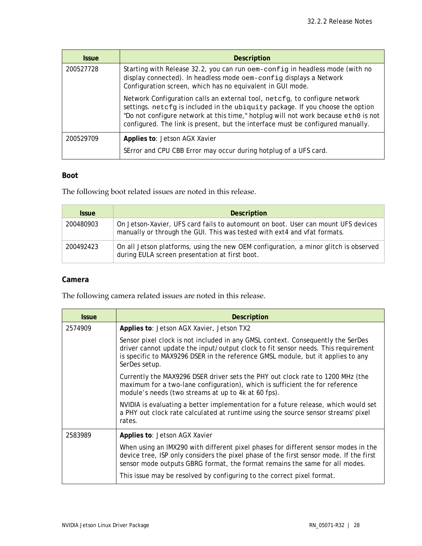| <b>Issue</b> | <b>Description</b>                                                                                                                                                                                                                                                                                                                    |
|--------------|---------------------------------------------------------------------------------------------------------------------------------------------------------------------------------------------------------------------------------------------------------------------------------------------------------------------------------------|
| 200527728    | Starting with Release 32.2, you can run oem-config in headless mode (with no<br>display connected). In headless mode oem-config displays a Network<br>Configuration screen, which has no equivalent in GUI mode.                                                                                                                      |
|              | Network Configuration calls an external tool, netcfg, to configure network<br>settings. netcfg is included in the ubiquity package. If you choose the option<br>"Do not configure network at this time," hotplug will not work because eth0 is not<br>configured. The link is present, but the interface must be configured manually. |
| 200529709    | Applies to: Jetson AGX Xavier                                                                                                                                                                                                                                                                                                         |
|              | SError and CPU CBB Error may occur during hotplug of a UFS card.                                                                                                                                                                                                                                                                      |

#### **Boot**

The following boot related issues are noted in this release.

| <i><b>Issue</b></i> | Description                                                                                                                                                   |
|---------------------|---------------------------------------------------------------------------------------------------------------------------------------------------------------|
| 200480903           | On Jetson-Xavier, UFS card fails to automount on boot. User can mount UFS devices<br>manually or through the GUI. This was tested with ext4 and vfat formats. |
| 200492423           | On all Jetson platforms, using the new OEM configuration, a minor glitch is observed<br>during EULA screen presentation at first boot.                        |

#### **Camera**

The following camera related issues are noted in this release.

| <b>Issue</b> | <b>Description</b>                                                                                                                                                                                                                                                       |
|--------------|--------------------------------------------------------------------------------------------------------------------------------------------------------------------------------------------------------------------------------------------------------------------------|
| 2574909      | Applies to: Jetson AGX Xavier, Jetson TX2                                                                                                                                                                                                                                |
|              | Sensor pixel clock is not included in any GMSL context. Consequently the SerDes<br>driver cannot update the input/output clock to fit sensor needs. This requirement<br>is specific to MAX9296 DSER in the reference GMSL module, but it applies to any<br>SerDes setup. |
|              | Currently the MAX9296 DSER driver sets the PHY out clock rate to 1200 MHz (the<br>maximum for a two-lane configuration), which is sufficient the for reference<br>module's needs (two streams at up to 4k at 60 fps).                                                    |
|              | NVIDIA is evaluating a better implementation for a future release, which would set<br>a PHY out clock rate calculated at runtime using the source sensor streams' pixel<br>rates.                                                                                        |
| 2583989      | Applies to: Jetson AGX Xavier                                                                                                                                                                                                                                            |
|              | When using an IMX290 with different pixel phases for different sensor modes in the<br>device tree, ISP only considers the pixel phase of the first sensor mode. If the first<br>sensor mode outputs GBRG format, the format remains the same for all modes.              |
|              | This issue may be resolved by configuring to the correct pixel format.                                                                                                                                                                                                   |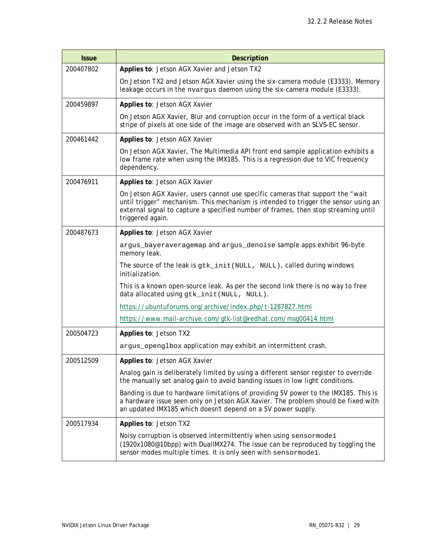| <b>Issue</b> | <b>Description</b>                                                                                                                                                                                                                                                              |
|--------------|---------------------------------------------------------------------------------------------------------------------------------------------------------------------------------------------------------------------------------------------------------------------------------|
| 200407802    | Applies to: Jetson AGX Xavier and Jetson TX2                                                                                                                                                                                                                                    |
|              | On Jetson TX2 and Jetson AGX Xavier using the six-camera module (E3333), Memory<br>leakage occurs in the nvargus daemon using the six-camera module (E3333).                                                                                                                    |
| 200459897    | Applies to: Jetson AGX Xavier                                                                                                                                                                                                                                                   |
|              | On Jetson AGX Xavier, Blur and corruption occur in the form of a vertical black<br>stripe of pixels at one side of the image are observed with an SLVS-EC sensor.                                                                                                               |
| 200461442    | Applies to: Jetson AGX Xavier                                                                                                                                                                                                                                                   |
|              | On Jetson AGX Xavier, The Multimedia API front end sample application exhibits a<br>low frame rate when using the IMX185. This is a regression due to VIC frequency<br>dependency.                                                                                              |
| 200476911    | Applies to: Jetson AGX Xavier                                                                                                                                                                                                                                                   |
|              | On Jetson AGX Xavier, users cannot use specific cameras that support the "wait<br>until trigger" mechanism. This mechanism is intended to trigger the sensor using an<br>external signal to capture a specified number of frames, then stop streaming until<br>triggered again. |
| 200487673    | Applies to: Jetson AGX Xavier                                                                                                                                                                                                                                                   |
|              | argus_bayeraveragemap and argus_denoise sample apps exhibit 96-byte<br>memory leak.                                                                                                                                                                                             |
|              | The source of the leak is gtk_init (NULL, NULL), called during windows<br>initialization.                                                                                                                                                                                       |
|              | This is a known open-source leak. As per the second link there is no way to free<br>data allocated using gtk_init(NULL, NULL).                                                                                                                                                  |
|              | https://ubuntuforums.org/archive/index.php/t-1287827.html                                                                                                                                                                                                                       |
|              | https://www.mail-archive.com/gtk-list@redhat.com/msg00414.html                                                                                                                                                                                                                  |
| 200504723    | Applies to: Jetson TX2                                                                                                                                                                                                                                                          |
|              | argus_openglbox application may exhibit an intermittent crash.                                                                                                                                                                                                                  |
| 200512509    | Applies to: Jetson AGX Xavier                                                                                                                                                                                                                                                   |
|              | Analog gain is deliberately limited by using a different sensor register to override<br>the manually set analog gain to avoid banding issues in low light conditions.                                                                                                           |
|              | Banding is due to hardware limitations of providing 5V power to the IMX185. This is<br>a hardware issue seen only on Jetson AGX Xavier. The problem should be fixed with<br>an updated IMX185 which doesn't depend on a 5V power supply.                                        |
| 200517934    | Applies to: Jetson TX2                                                                                                                                                                                                                                                          |
|              | Noisy corruption is observed intermittently when using sensormode1<br>(1920x1080@10bpp) with DuallMX274. The issue can be reproduced by toggling the<br>sensor modes multiple times. It is only seen with sensormode1.                                                          |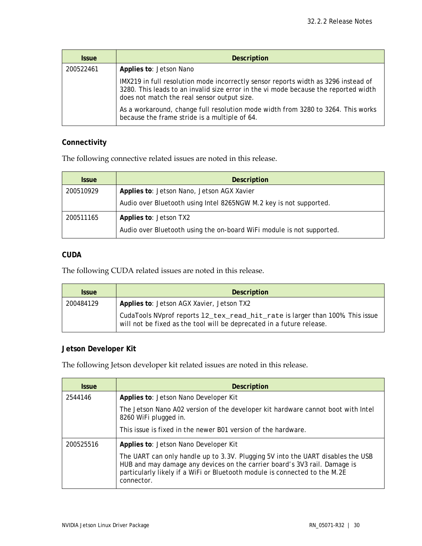| <b>Issue</b> | <b>Description</b>                                                                                                                                                                                                       |
|--------------|--------------------------------------------------------------------------------------------------------------------------------------------------------------------------------------------------------------------------|
| 200522461    | Applies to: Jetson Nano                                                                                                                                                                                                  |
|              | IMX219 in full resolution mode incorrectly sensor reports width as 3296 instead of<br>3280. This leads to an invalid size error in the vi mode because the reported width<br>does not match the real sensor output size. |
|              | As a workaround, change full resolution mode width from 3280 to 3264. This works<br>because the frame stride is a multiple of 64.                                                                                        |

## **Connectivity**

The following connective related issues are noted in this release.

| <i><b>Issue</b></i> | <b>Description</b>                                                    |
|---------------------|-----------------------------------------------------------------------|
| 200510929           | Applies to: Jetson Nano, Jetson AGX Xavier                            |
|                     | Audio over Bluetooth using Intel 8265NGW M.2 key is not supported.    |
| 200511165           | Applies to: Jetson TX2                                                |
|                     | Audio over Bluetooth using the on-board WiFi module is not supported. |

## **CUDA**

The following CUDA related issues are noted in this release.

| <b>Issue</b> | <b>Description</b>                                                                                                                                     |
|--------------|--------------------------------------------------------------------------------------------------------------------------------------------------------|
| 200484129    | Applies to: Jetson AGX Xavier, Jetson TX2                                                                                                              |
|              | CudaTools NVprof reports 12_tex_read_hit_rate is larger than 100%. This issue<br>will not be fixed as the tool will be deprecated in a future release. |

## **Jetson Developer Kit**

The following Jetson developer kit related issues are noted in this release.

| <b>Issue</b> | <b>Description</b>                                                                                                                                                                                                                                       |
|--------------|----------------------------------------------------------------------------------------------------------------------------------------------------------------------------------------------------------------------------------------------------------|
| 2544146      | Applies to: Jetson Nano Developer Kit                                                                                                                                                                                                                    |
|              | The Jetson Nano A02 version of the developer kit hardware cannot boot with Intel<br>8260 WiFi plugged in.                                                                                                                                                |
|              | This issue is fixed in the newer B01 version of the hardware.                                                                                                                                                                                            |
| 200525516    | Applies to: Jetson Nano Developer Kit                                                                                                                                                                                                                    |
|              | The UART can only handle up to 3.3V. Plugging 5V into the UART disables the USB<br>HUB and may damage any devices on the carrier board's 3V3 rail. Damage is<br>particularly likely if a WiFi or Bluetooth module is connected to the M.2E<br>connector. |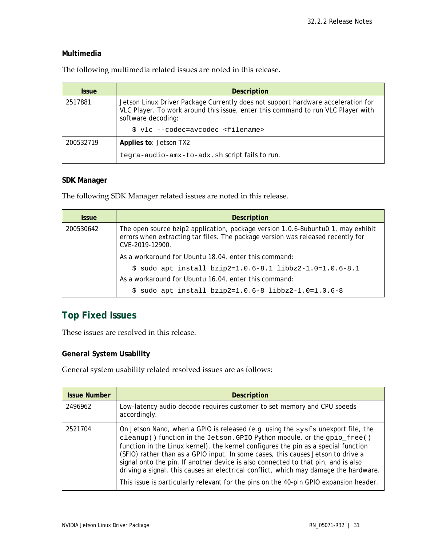#### **Multimedia**

| <b>Issue</b> | <b>Description</b>                                                                                                                                                                         |
|--------------|--------------------------------------------------------------------------------------------------------------------------------------------------------------------------------------------|
| 2517881      | Jetson Linux Driver Package Currently does not support hardware acceleration for<br>VLC Player. To work around this issue, enter this command to run VLC Player with<br>software decoding: |
|              | \$ vlc --codec=avcodec <filename></filename>                                                                                                                                               |
| 200532719    | Applies to: Jetson TX2                                                                                                                                                                     |
|              | tegra-audio-amx-to-adx.sh script fails to run.                                                                                                                                             |

The following multimedia related issues are noted in this release.

#### **SDK Manager**

The following SDK Manager related issues are noted in this release.

| <b>Issue</b> | <b>Description</b>                                                                                                                                                                     |
|--------------|----------------------------------------------------------------------------------------------------------------------------------------------------------------------------------------|
| 200530642    | The open source bzip2 application, package version 1.0.6-8ubuntu0.1, may exhibit<br>errors when extracting tar files. The package version was released recently for<br>CVE-2019-12900. |
|              | As a workaround for Ubuntu 18.04, enter this command:                                                                                                                                  |
|              | $$$ sudo apt install bzip2=1.0.6-8.1 libbz2-1.0=1.0.6-8.1                                                                                                                              |
|              | As a workaround for Ubuntu 16.04, enter this command:                                                                                                                                  |
|              | $$$ sudo apt install bzip2=1.0.6-8 libbz2-1.0=1.0.6-8                                                                                                                                  |

## **Top Fixed Issues**

These issues are resolved in this release.

## **General System Usability**

General system usability related resolved issues are as follows:

| <b>Issue Number</b> | <b>Description</b>                                                                                                                                                                                                                                                                                                                                                                                                                                                                                                                                                                                           |
|---------------------|--------------------------------------------------------------------------------------------------------------------------------------------------------------------------------------------------------------------------------------------------------------------------------------------------------------------------------------------------------------------------------------------------------------------------------------------------------------------------------------------------------------------------------------------------------------------------------------------------------------|
| 2496962             | Low-latency audio decode requires customer to set memory and CPU speeds<br>accordingly.                                                                                                                                                                                                                                                                                                                                                                                                                                                                                                                      |
| 2521704             | On Jetson Nano, when a GPIO is released (e.g. using the sysfs unexport file, the<br>cleanup() function in the Jetson. GPIO Python module, or the gpio_free()<br>function in the Linux kernel), the kernel configures the pin as a special function<br>(SFIO) rather than as a GPIO input. In some cases, this causes Jetson to drive a<br>signal onto the pin. If another device is also connected to that pin, and is also<br>driving a signal, this causes an electrical conflict, which may damage the hardware.<br>This issue is particularly relevant for the pins on the 40-pin GPIO expansion header. |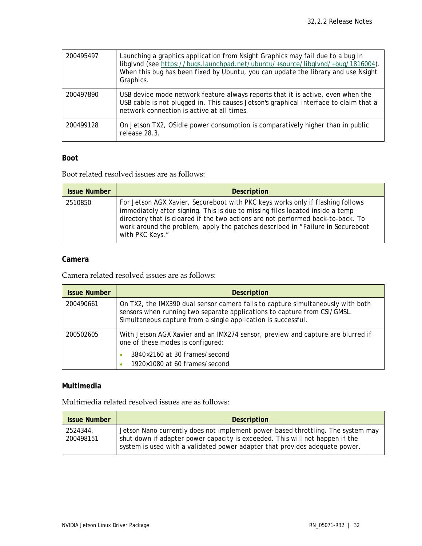| 200495497 | Launching a graphics application from Nsight Graphics may fail due to a bug in<br>libglynd (see https://bugs.launchpad.net/ubuntu/+source/libglynd/+bug/1816004).<br>When this bug has been fixed by Ubuntu, you can update the library and use Nsight<br>Graphics. |
|-----------|---------------------------------------------------------------------------------------------------------------------------------------------------------------------------------------------------------------------------------------------------------------------|
| 200497890 | USB device mode network feature always reports that it is active, even when the<br>USB cable is not plugged in. This causes Jetson's graphical interface to claim that a<br>network connection is active at all times.                                              |
| 200499128 | On Jetson TX2, OSidle power consumption is comparatively higher than in public<br>release 28.3.                                                                                                                                                                     |

## **Boot**

Ē.

Boot related resolved issues are as follows:

| <b>Issue Number</b> | <b>Description</b>                                                                                                                                                                                                                                                                                                                                       |
|---------------------|----------------------------------------------------------------------------------------------------------------------------------------------------------------------------------------------------------------------------------------------------------------------------------------------------------------------------------------------------------|
| 2510850             | For Jetson AGX Xavier, Secureboot with PKC keys works only if flashing follows<br>immediately after signing. This is due to missing files located inside a temp<br>directory that is cleared if the two actions are not performed back-to-back. To<br>work around the problem, apply the patches described in "Failure in Secureboot"<br>with PKC Keys." |

## **Camera**

Camera related resolved issues are as follows:

| <b>Issue Number</b> | <b>Description</b>                                                                                                                                                                                                           |
|---------------------|------------------------------------------------------------------------------------------------------------------------------------------------------------------------------------------------------------------------------|
| 200490661           | On TX2, the IMX390 dual sensor camera fails to capture simultaneously with both<br>sensors when running two separate applications to capture from CSI/GMSL.<br>Simultaneous capture from a single application is successful. |
| 200502605           | With Jetson AGX Xavier and an IMX274 sensor, preview and capture are blurred if<br>one of these modes is configured:                                                                                                         |
|                     | 3840×2160 at 30 frames/second<br>1920×1080 at 60 frames/second                                                                                                                                                               |

## **Multimedia**

Multimedia related resolved issues are as follows:

| <b>Issue Number</b>   | <b>Description</b>                                                                                                                                                                                                                             |
|-----------------------|------------------------------------------------------------------------------------------------------------------------------------------------------------------------------------------------------------------------------------------------|
| 2524344.<br>200498151 | Jetson Nano currently does not implement power-based throttling. The system may<br>shut down if adapter power capacity is exceeded. This will not happen if the<br>system is used with a validated power adapter that provides adequate power. |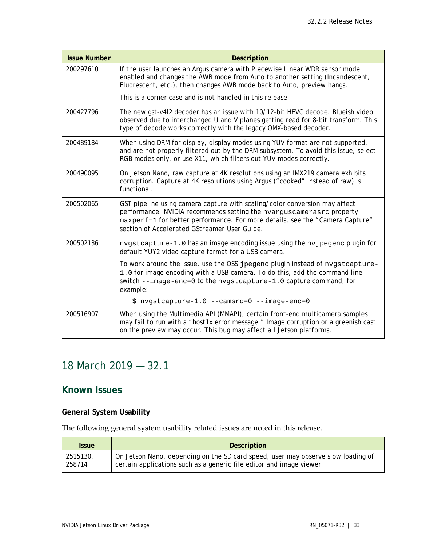| <b>Issue Number</b> | <b>Description</b>                                                                                                                                                                                                                                                                 |
|---------------------|------------------------------------------------------------------------------------------------------------------------------------------------------------------------------------------------------------------------------------------------------------------------------------|
| 200297610           | If the user launches an Argus camera with Piecewise Linear WDR sensor mode<br>enabled and changes the AWB mode from Auto to another setting (Incandescent,<br>Fluorescent, etc.), then changes AWB mode back to Auto, preview hangs.                                               |
|                     | This is a corner case and is not handled in this release.                                                                                                                                                                                                                          |
| 200427796           | The new gst-v412 decoder has an issue with 10/12-bit HEVC decode. Blueish video<br>observed due to interchanged U and V planes getting read for 8-bit transform. This<br>type of decode works correctly with the legacy OMX-based decoder.                                         |
| 200489184           | When using DRM for display, display modes using YUV format are not supported,<br>and are not properly filtered out by the DRM subsystem. To avoid this issue, select<br>RGB modes only, or use X11, which filters out YUV modes correctly.                                         |
| 200490095           | On Jetson Nano, raw capture at 4K resolutions using an IMX219 camera exhibits<br>corruption. Capture at 4K resolutions using Argus ("cooked" instead of raw) is<br>functional.                                                                                                     |
| 200502065           | GST pipeline using camera capture with scaling/color conversion may affect<br>performance. NVIDIA recommends setting the nvarguscamerasrc property<br>maxperf=1 for better performance. For more details, see the "Camera Capture"<br>section of Accelerated GStreamer User Guide. |
| 200502136           | nvgstcapture-1.0 has an image encoding issue using the nvjpegenc plugin for<br>default YUY2 video capture format for a USB camera.                                                                                                                                                 |
|                     | To work around the issue, use the OSS jpegenc plugin instead of nvgstcapture-<br>1.0 for image encoding with a USB camera. To do this, add the command line<br>switch --image-enc=0 to the nvgstcapture-1.0 capture command, for<br>example:                                       |
|                     | \$ nvgstcapture-1.0 --camsrc=0 --image-enc=0                                                                                                                                                                                                                                       |
| 200516907           | When using the Multimedia API (MMAPI), certain front-end multicamera samples<br>may fail to run with a "host1x error message." Image corruption or a greenish cast<br>on the preview may occur. This bug may affect all Jetson platforms.                                          |

# <span id="page-32-0"></span>18 March 2019 — 32.1

## **Known Issues**

## **General System Usability**

The following general system usability related issues are noted in this release.

| <b>Issue</b> | <b>Description</b>                                                               |
|--------------|----------------------------------------------------------------------------------|
| 2515130,     | On Jetson Nano, depending on the SD card speed, user may observe slow loading of |
| 258714       | certain applications such as a generic file editor and image viewer.             |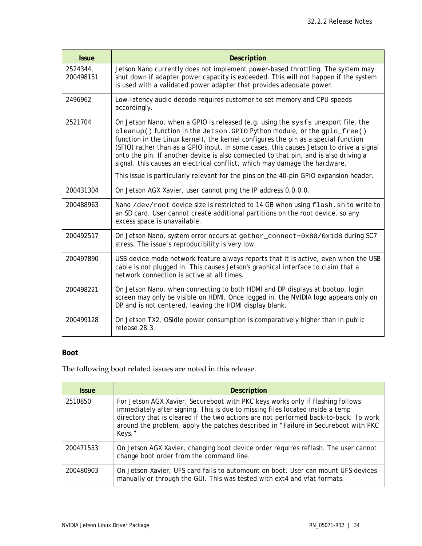| <b>Issue</b>          | <b>Description</b>                                                                                                                                                                                                                                                                                                                                                                                                                                                                                                                                                                                           |
|-----------------------|--------------------------------------------------------------------------------------------------------------------------------------------------------------------------------------------------------------------------------------------------------------------------------------------------------------------------------------------------------------------------------------------------------------------------------------------------------------------------------------------------------------------------------------------------------------------------------------------------------------|
| 2524344,<br>200498151 | Jetson Nano currently does not implement power-based throttling. The system may<br>shut down if adapter power capacity is exceeded. This will not happen if the system<br>is used with a validated power adapter that provides adequate power.                                                                                                                                                                                                                                                                                                                                                               |
| 2496962               | Low-latency audio decode requires customer to set memory and CPU speeds<br>accordingly.                                                                                                                                                                                                                                                                                                                                                                                                                                                                                                                      |
| 2521704               | On Jetson Nano, when a GPIO is released (e.g. using the sysfs unexport file, the<br>cleanup() function in the Jetson. GPIO Python module, or the gpio_free()<br>function in the Linux kernel), the kernel configures the pin as a special function<br>(SFIO) rather than as a GPIO input. In some cases, this causes Jetson to drive a signal<br>onto the pin. If another device is also connected to that pin, and is also driving a<br>signal, this causes an electrical conflict, which may damage the hardware.<br>This issue is particularly relevant for the pins on the 40-pin GPIO expansion header. |
| 200431304             | On Jetson AGX Xavier, user cannot ping the IP address 0.0.0.0.                                                                                                                                                                                                                                                                                                                                                                                                                                                                                                                                               |
| 200488963             | Nano /dev/root device size is restricted to 14 GB when using flash.sh to write to<br>an SD card. User cannot create additional partitions on the root device, so any<br>excess space is unavailable.                                                                                                                                                                                                                                                                                                                                                                                                         |
| 200492517             | On Jetson Nano, system error occurs at gether_connect+0x80/0x1d8 during SC7<br>stress. The issue's reproducibility is very low.                                                                                                                                                                                                                                                                                                                                                                                                                                                                              |
| 200497890             | USB device mode network feature always reports that it is active, even when the USB<br>cable is not plugged in. This causes Jetson's graphical interface to claim that a<br>network connection is active at all times.                                                                                                                                                                                                                                                                                                                                                                                       |
| 200498221             | On Jetson Nano, when connecting to both HDMI and DP displays at bootup, login<br>screen may only be visible on HDMI. Once logged in, the NVIDIA logo appears only on<br>DP and is not centered, leaving the HDMI display blank.                                                                                                                                                                                                                                                                                                                                                                              |
| 200499128             | On Jetson TX2, OSidle power consumption is comparatively higher than in public<br>release 28.3.                                                                                                                                                                                                                                                                                                                                                                                                                                                                                                              |

## **Boot**

The following boot related issues are noted in this release.

| <b>Issue</b> | <b>Description</b>                                                                                                                                                                                                                                                                                                                                      |
|--------------|---------------------------------------------------------------------------------------------------------------------------------------------------------------------------------------------------------------------------------------------------------------------------------------------------------------------------------------------------------|
| 2510850      | For Jetson AGX Xavier, Secureboot with PKC keys works only if flashing follows<br>immediately after signing. This is due to missing files located inside a temp<br>directory that is cleared if the two actions are not performed back-to-back. To work<br>around the problem, apply the patches described in "Failure in Secureboot with PKC<br>Keys." |
| 200471553    | On Jetson AGX Xavier, changing boot device order requires reflash. The user cannot<br>change boot order from the command line.                                                                                                                                                                                                                          |
| 200480903    | On Jetson-Xavier, UFS card fails to automount on boot. User can mount UFS devices<br>manually or through the GUI. This was tested with ext4 and vfat formats.                                                                                                                                                                                           |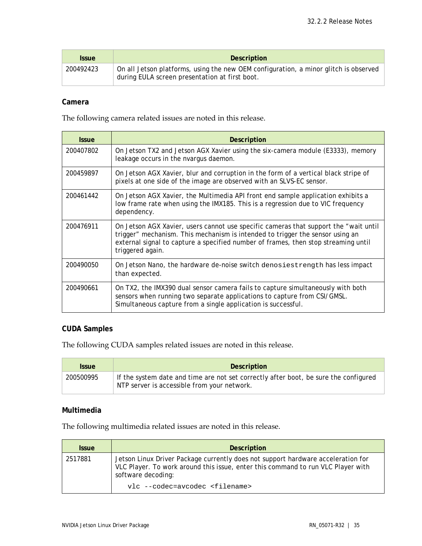| <b>Issue</b> | <b>Description</b>                                                                                                                     |
|--------------|----------------------------------------------------------------------------------------------------------------------------------------|
| 200492423    | On all Jetson platforms, using the new OEM configuration, a minor glitch is observed<br>during EULA screen presentation at first boot. |

#### **Camera**

The following camera related issues are noted in this release.

| <i><b>Issue</b></i> | Description                                                                                                                                                                                                                                                                     |
|---------------------|---------------------------------------------------------------------------------------------------------------------------------------------------------------------------------------------------------------------------------------------------------------------------------|
| 200407802           | On Jetson TX2 and Jetson AGX Xavier using the six-camera module (E3333), memory<br>leakage occurs in the nvargus daemon.                                                                                                                                                        |
| 200459897           | On Jetson AGX Xavier, blur and corruption in the form of a vertical black stripe of<br>pixels at one side of the image are observed with an SLVS-EC sensor.                                                                                                                     |
| 200461442           | On Jetson AGX Xavier, the Multimedia API front end sample application exhibits a<br>low frame rate when using the IMX185. This is a regression due to VIC frequency<br>dependency.                                                                                              |
| 200476911           | On Jetson AGX Xavier, users cannot use specific cameras that support the "wait until<br>trigger" mechanism. This mechanism is intended to trigger the sensor using an<br>external signal to capture a specified number of frames, then stop streaming until<br>triggered again. |
| 200490050           | On Jetson Nano, the hardware de-noise switch denosiestrength has less impact<br>than expected.                                                                                                                                                                                  |
| 200490661           | On TX2, the IMX390 dual sensor camera fails to capture simultaneously with both<br>sensors when running two separate applications to capture from CSI/GMSL.<br>Simultaneous capture from a single application is successful.                                                    |

## **CUDA Samples**

The following CUDA samples related issues are noted in this release.

| <i><b>Issue</b></i> | <b>Description</b>                                                                                                                  |
|---------------------|-------------------------------------------------------------------------------------------------------------------------------------|
| 200500995           | If the system date and time are not set correctly after boot, be sure the configured<br>NTP server is accessible from your network. |

#### **Multimedia**

The following multimedia related issues are noted in this release.

| <b>Issue</b> | <b>Description</b>                                                                                                                                                                         |
|--------------|--------------------------------------------------------------------------------------------------------------------------------------------------------------------------------------------|
| 2517881      | Jetson Linux Driver Package currently does not support hardware acceleration for<br>VLC Player. To work around this issue, enter this command to run VLC Player with<br>software decoding: |
|              | vlc --codec=avcodec <filename></filename>                                                                                                                                                  |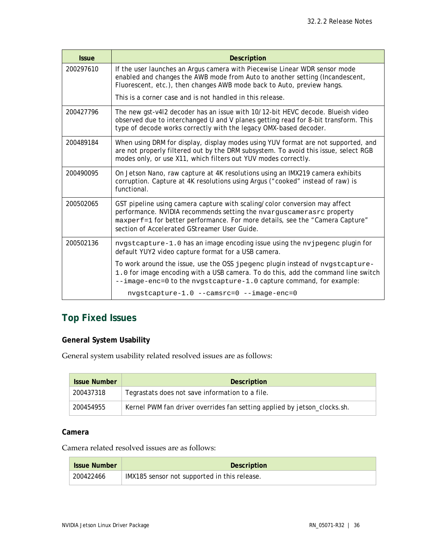| <b>Issue</b> | <b>Description</b>                                                                                                                                                                                                                                                                 |
|--------------|------------------------------------------------------------------------------------------------------------------------------------------------------------------------------------------------------------------------------------------------------------------------------------|
| 200297610    | If the user launches an Argus camera with Piecewise Linear WDR sensor mode<br>enabled and changes the AWB mode from Auto to another setting (Incandescent,<br>Fluorescent, etc.), then changes AWB mode back to Auto, preview hangs.                                               |
|              | This is a corner case and is not handled in this release.                                                                                                                                                                                                                          |
| 200427796    | The new gst-v4l2 decoder has an issue with 10/12-bit HEVC decode. Blueish video<br>observed due to interchanged U and V planes getting read for 8-bit transform. This<br>type of decode works correctly with the legacy OMX-based decoder.                                         |
| 200489184    | When using DRM for display, display modes using YUV format are not supported, and<br>are not properly filtered out by the DRM subsystem. To avoid this issue, select RGB<br>modes only, or use X11, which filters out YUV modes correctly.                                         |
| 200490095    | On Jetson Nano, raw capture at 4K resolutions using an IMX219 camera exhibits<br>corruption. Capture at 4K resolutions using Argus ("cooked" instead of raw) is<br>functional.                                                                                                     |
| 200502065    | GST pipeline using camera capture with scaling/color conversion may affect<br>performance. NVIDIA recommends setting the nvarguscamerasrc property<br>maxperf=1 for better performance. For more details, see the "Camera Capture"<br>section of Accelerated GStreamer User Guide. |
| 200502136    | nvgstcapture-1.0 has an image encoding issue using the nvjpegenc plugin for<br>default YUY2 video capture format for a USB camera.                                                                                                                                                 |
|              | To work around the issue, use the OSS jpegenc plugin instead of nvgstcapture-<br>1.0 for image encoding with a USB camera. To do this, add the command line switch<br>--image-enc=0 to the nygstcapture-1.0 capture command, for example:                                          |
|              | nvgstcapture-1.0 --camsrc=0 --image-enc=0                                                                                                                                                                                                                                          |

# **Top Fixed Issues**

## **General System Usability**

General system usability related resolved issues are as follows:

| <b>Issue Number</b> | <b>Description</b>                                                       |
|---------------------|--------------------------------------------------------------------------|
| 200437318           | Tegrastats does not save information to a file.                          |
| 200454955           | Kernel PWM fan driver overrides fan setting applied by jetson_clocks.sh. |

#### **Camera**

## Camera related resolved issues are as follows:

| <b>Issue Number</b> | Description                                  |
|---------------------|----------------------------------------------|
| 200422466           | IMX185 sensor not supported in this release. |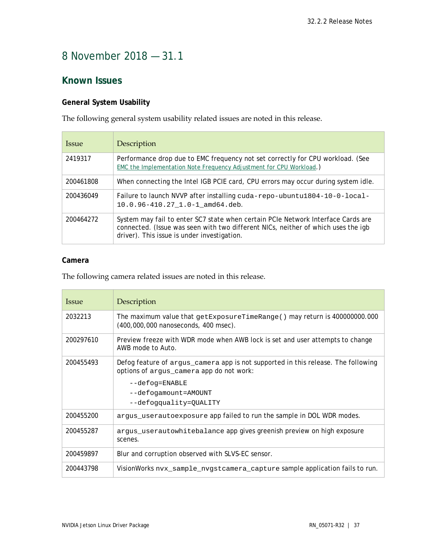# <span id="page-36-0"></span>8 November 2018 — 31.1

## **Known Issues**

## **General System Usability**

The following general system usability related issues are noted in this release.

| <i><u><b>Issue</b></u></i> | Description                                                                                                                                                                                                          |
|----------------------------|----------------------------------------------------------------------------------------------------------------------------------------------------------------------------------------------------------------------|
| 2419317                    | Performance drop due to EMC frequency not set correctly for CPU workload. (See<br>EMC the Implementation Note Frequency Adjustment for CPU Workload.)                                                                |
| 200461808                  | When connecting the Intel IGB PCIE card, CPU errors may occur during system idle.                                                                                                                                    |
| 200436049                  | Failure to launch NVVP after installing cuda-repo-ubuntu1804-10-0-local-<br>$10.0.96 - 410.27 - 1.0 - 1$ amd $64.$ deb.                                                                                              |
| 200464272                  | System may fail to enter SC7 state when certain PCIe Network Interface Cards are<br>connected. (Issue was seen with two different NICs, neither of which uses the igb<br>driver). This issue is under investigation. |

### **Camera**

The following camera related issues are noted in this release.

| <i>Issue</i> | Description                                                                                                                   |
|--------------|-------------------------------------------------------------------------------------------------------------------------------|
| 2032213      | The maximum value that getExposureTimeRange() may return is 400000000.000<br>(400,000,000 nanoseconds, 400 msec).             |
| 200297610    | Preview freeze with WDR mode when AWB lock is set and user attempts to change<br>AWB mode to Auto.                            |
| 200455493    | Defog feature of argus_camera app is not supported in this release. The following<br>options of argus_camera app do not work: |
|              | $-\texttt{def}$ $\texttt{eq}$ = $\texttt{ENABLE}$                                                                             |
|              | --defogamount=AMOUNT                                                                                                          |
|              | --defogquality=QUALITY                                                                                                        |
| 200455200    | argus_userautoexposure app failed to run the sample in DOL WDR modes.                                                         |
| 200455287    | argus_userautowhitebalance app gives greenish preview on high exposure<br>scenes.                                             |
| 200459897    | Blur and corruption observed with SLVS-EC sensor.                                                                             |
| 200443798    | VisionWorks nvx_sample_nvgstcamera_capture sample application fails to run.                                                   |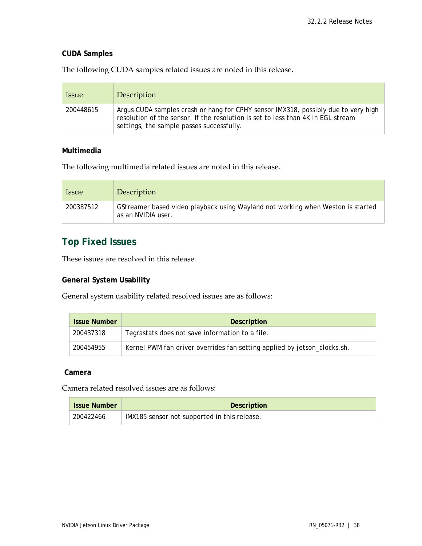#### **CUDA Samples**

The following CUDA samples related issues are noted in this release.

| <i>ssue</i> | Description                                                                                                                                                                                                         |
|-------------|---------------------------------------------------------------------------------------------------------------------------------------------------------------------------------------------------------------------|
| 200448615   | Argus CUDA samples crash or hang for CPHY sensor IMX318, possibly due to very high<br>resolution of the sensor. If the resolution is set to less than 4K in EGL stream<br>settings, the sample passes successfully. |

#### **Multimedia**

The following multimedia related issues are noted in this release.

| <i>ssue</i> | Description                                                                                           |
|-------------|-------------------------------------------------------------------------------------------------------|
| 200387512   | GStreamer based video playback using Wayland not working when Weston is started<br>as an NVIDIA user. |

## **Top Fixed Issues**

These issues are resolved in this release.

## **General System Usability**

General system usability related resolved issues are as follows:

| <b>Issue Number</b> | Description                                                              |
|---------------------|--------------------------------------------------------------------------|
| 200437318           | Tegrastats does not save information to a file.                          |
| 200454955           | Kernel PWM fan driver overrides fan setting applied by jetson_clocks.sh. |

#### **Camera**

Camera related resolved issues are as follows:

| <b>Issue Number</b> | <b>Description</b>                           |
|---------------------|----------------------------------------------|
| 200422466           | IMX185 sensor not supported in this release. |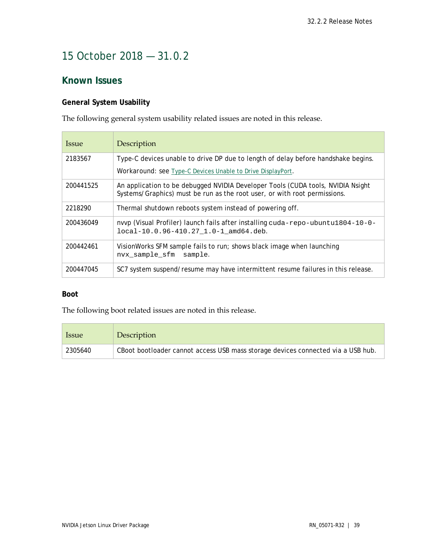## <span id="page-38-0"></span>15 October 2018 — 31.0.2

## **Known Issues**

## **General System Usability**

The following general system usability related issues are noted in this release.

| <i><u><b>Issue</b></u></i> | Description                                                                                                                                                  |
|----------------------------|--------------------------------------------------------------------------------------------------------------------------------------------------------------|
| 2183567                    | Type-C devices unable to drive DP due to length of delay before handshake begins.                                                                            |
|                            | <b>Workaround: see Type-C Devices Unable to Drive DisplayPort.</b>                                                                                           |
| 200441525                  | An application to be debugged NVIDIA Developer Tools (CUDA tools, NVIDIA Nsight<br>Systems/Graphics) must be run as the root user, or with root permissions. |
| 2218290                    | Thermal shutdown reboots system instead of powering off.                                                                                                     |
| 200436049                  | nvvp (Visual Profiler) launch fails after installing cuda-repo-ubuntu1804-10-0-<br>local-10.0.96-410.27 1.0-1 amd64.deb.                                     |
| 200442461                  | VisionWorks SFM sample fails to run; shows black image when launching<br>nvx sample sfm<br>sample.                                                           |
| 200447045                  | SC7 system suspend/resume may have intermittent resume failures in this release.                                                                             |

#### **Boot**

The following boot related issues are noted in this release.

| <i><u><b>Issue</b></u></i> | Description                                                                      |
|----------------------------|----------------------------------------------------------------------------------|
| 2305640                    | CBoot bootloader cannot access USB mass storage devices connected via a USB hub. |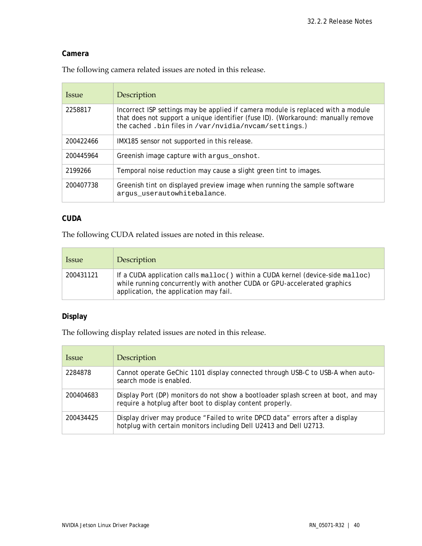### **Camera**

The following camera related issues are noted in this release.

| <i>Issue</i> | Description                                                                                                                                                                                                                    |
|--------------|--------------------------------------------------------------------------------------------------------------------------------------------------------------------------------------------------------------------------------|
| 2258817      | Incorrect ISP settings may be applied if camera module is replaced with a module<br>that does not support a unique identifier (fuse ID). (Workaround: manually remove<br>the cached .bin files in /var/nvidia/nvcam/settings.) |
| 200422466    | IMX185 sensor not supported in this release.                                                                                                                                                                                   |
| 200445964    | Greenish image capture with argus_onshot.                                                                                                                                                                                      |
| 2199266      | Temporal noise reduction may cause a slight green tint to images.                                                                                                                                                              |
| 200407738    | Greenish tint on displayed preview image when running the sample software<br>arqus userautowhitebalance.                                                                                                                       |

### **CUDA**

The following CUDA related issues are noted in this release.

| <i><u><b>Issue</b></u></i> | Description                                                                                                                                                                                                             |
|----------------------------|-------------------------------------------------------------------------------------------------------------------------------------------------------------------------------------------------------------------------|
| 200431121                  | If a CUDA application calls $\text{malloc}()$ within a CUDA kernel (device-side $\text{malloc}()$<br>while running concurrently with another CUDA or GPU-accelerated graphics<br>application, the application may fail. |

## **Display**

The following display related issues are noted in this release.

| <i><u><b>Issue</b></u></i> | Description                                                                                                                                         |
|----------------------------|-----------------------------------------------------------------------------------------------------------------------------------------------------|
| 2284878                    | Cannot operate GeChic 1101 display connected through USB-C to USB-A when auto-<br>search mode is enabled.                                           |
| 200404683                  | Display Port (DP) monitors do not show a bootloader splash screen at boot, and may<br>require a hotplug after boot to display content properly.     |
| 200434425                  | Display driver may produce "Failed to write DPCD data" errors after a display<br>hotplug with certain monitors including Dell U2413 and Dell U2713. |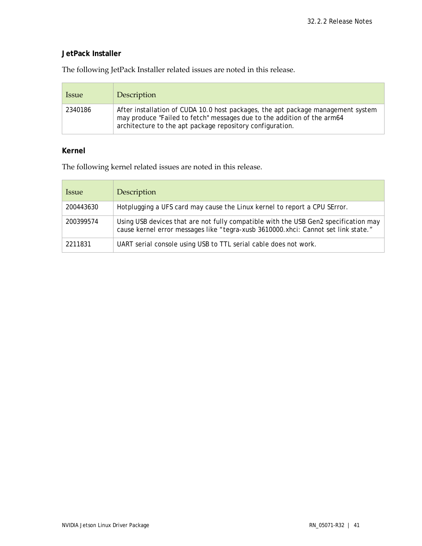## **JetPack Installer**

The following JetPack Installer related issues are noted in this release.

| <i><u><b>Issue</b></u></i> | Description                                                                                                                                                                                                              |
|----------------------------|--------------------------------------------------------------------------------------------------------------------------------------------------------------------------------------------------------------------------|
| 2340186                    | After installation of CUDA 10.0 host packages, the apt package management system<br>may produce "Failed to fetch" messages due to the addition of the arm64<br>architecture to the apt package repository configuration. |

## **Kernel**

The following kernel related issues are noted in this release.

| <i>Issue</i> | Description                                                                                                                                                               |
|--------------|---------------------------------------------------------------------------------------------------------------------------------------------------------------------------|
| 200443630    | Hotplugging a UFS card may cause the Linux kernel to report a CPU SError.                                                                                                 |
| 200399574    | Using USB devices that are not fully compatible with the USB Gen2 specification may<br>cause kernel error messages like "tegra-xusb 3610000.xhci: Cannot set link state." |
| 2211831      | UART serial console using USB to TTL serial cable does not work.                                                                                                          |